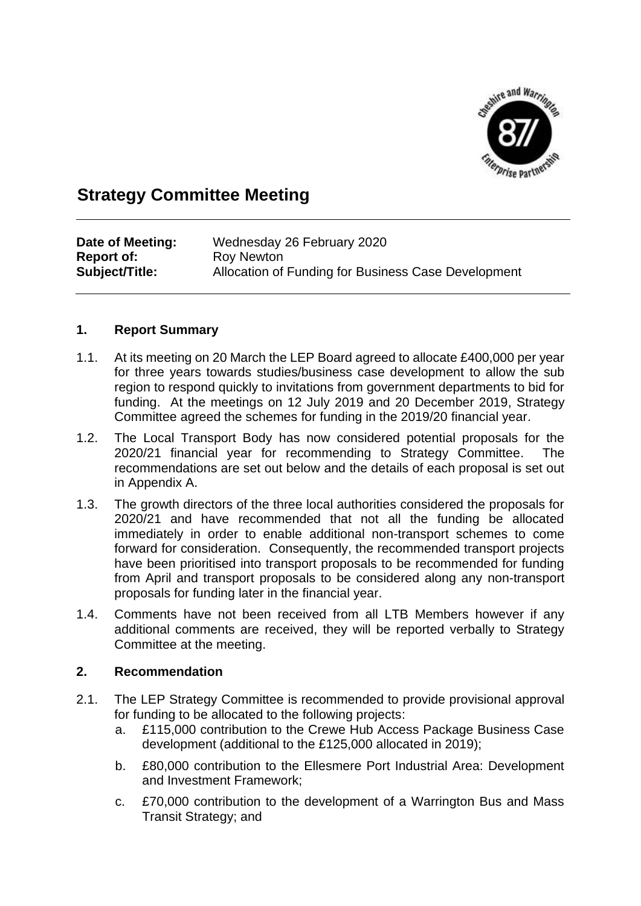

### **Strategy Committee Meeting**

| Date of Meeting:  | Wednesday 26 February 2020                          |
|-------------------|-----------------------------------------------------|
| <b>Report of:</b> | Roy Newton                                          |
| Subject/Title:    | Allocation of Funding for Business Case Development |

### **1. Report Summary**

- 1.1. At its meeting on 20 March the LEP Board agreed to allocate £400,000 per year for three years towards studies/business case development to allow the sub region to respond quickly to invitations from government departments to bid for funding. At the meetings on 12 July 2019 and 20 December 2019, Strategy Committee agreed the schemes for funding in the 2019/20 financial year.
- 1.2. The Local Transport Body has now considered potential proposals for the 2020/21 financial year for recommending to Strategy Committee. The recommendations are set out below and the details of each proposal is set out in Appendix A.
- 1.3. The growth directors of the three local authorities considered the proposals for 2020/21 and have recommended that not all the funding be allocated immediately in order to enable additional non-transport schemes to come forward for consideration. Consequently, the recommended transport projects have been prioritised into transport proposals to be recommended for funding from April and transport proposals to be considered along any non-transport proposals for funding later in the financial year.
- 1.4. Comments have not been received from all LTB Members however if any additional comments are received, they will be reported verbally to Strategy Committee at the meeting.

#### **2. Recommendation**

- 2.1. The LEP Strategy Committee is recommended to provide provisional approval for funding to be allocated to the following projects:
	- a. £115,000 contribution to the Crewe Hub Access Package Business Case development (additional to the £125,000 allocated in 2019);
	- b. £80,000 contribution to the Ellesmere Port Industrial Area: Development and Investment Framework;
	- c. £70,000 contribution to the development of a Warrington Bus and Mass Transit Strategy; and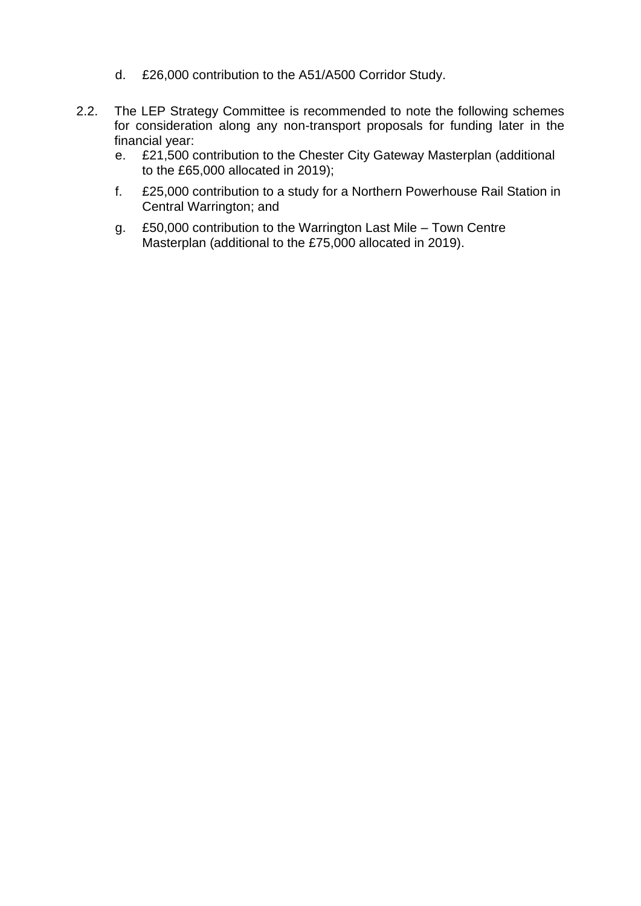- d. £26,000 contribution to the A51/A500 Corridor Study.
- 2.2. The LEP Strategy Committee is recommended to note the following schemes for consideration along any non-transport proposals for funding later in the financial year:
	- e. £21,500 contribution to the Chester City Gateway Masterplan (additional to the £65,000 allocated in 2019);
	- f. £25,000 contribution to a study for a Northern Powerhouse Rail Station in Central Warrington; and
	- g. £50,000 contribution to the Warrington Last Mile Town Centre Masterplan (additional to the £75,000 allocated in 2019).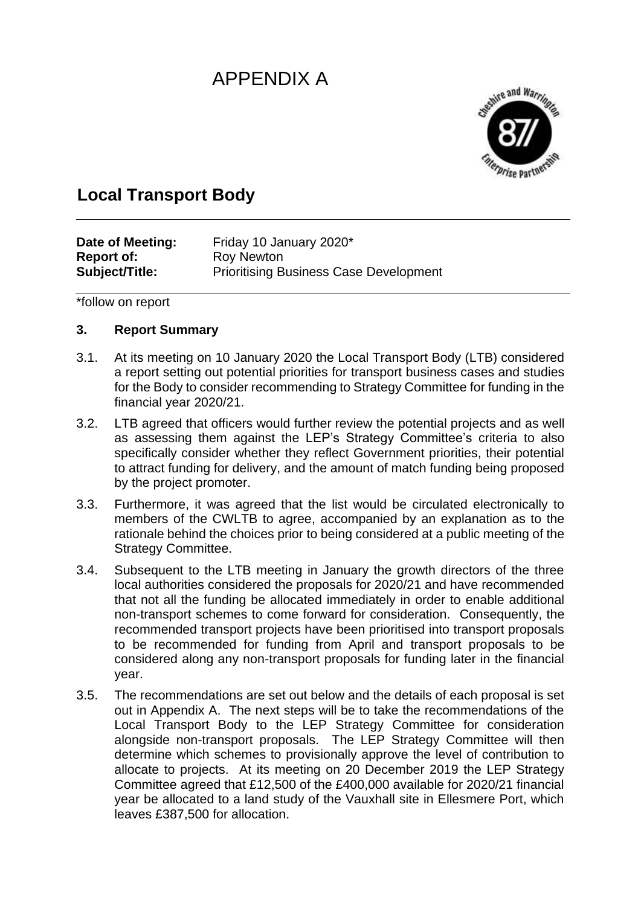# APPENDIX A



## **Local Transport Body**

| Date of Meeting:  | Friday 10 January 2020*                       |
|-------------------|-----------------------------------------------|
| <b>Report of:</b> | Roy Newton                                    |
| Subject/Title:    | <b>Prioritising Business Case Development</b> |

\*follow on report

### **3. Report Summary**

- 3.1. At its meeting on 10 January 2020 the Local Transport Body (LTB) considered a report setting out potential priorities for transport business cases and studies for the Body to consider recommending to Strategy Committee for funding in the financial year 2020/21.
- 3.2. LTB agreed that officers would further review the potential projects and as well as assessing them against the LEP's Strategy Committee's criteria to also specifically consider whether they reflect Government priorities, their potential to attract funding for delivery, and the amount of match funding being proposed by the project promoter.
- 3.3. Furthermore, it was agreed that the list would be circulated electronically to members of the CWLTB to agree, accompanied by an explanation as to the rationale behind the choices prior to being considered at a public meeting of the Strategy Committee.
- 3.4. Subsequent to the LTB meeting in January the growth directors of the three local authorities considered the proposals for 2020/21 and have recommended that not all the funding be allocated immediately in order to enable additional non-transport schemes to come forward for consideration. Consequently, the recommended transport projects have been prioritised into transport proposals to be recommended for funding from April and transport proposals to be considered along any non-transport proposals for funding later in the financial year.
- 3.5. The recommendations are set out below and the details of each proposal is set out in Appendix A. The next steps will be to take the recommendations of the Local Transport Body to the LEP Strategy Committee for consideration alongside non-transport proposals. The LEP Strategy Committee will then determine which schemes to provisionally approve the level of contribution to allocate to projects. At its meeting on 20 December 2019 the LEP Strategy Committee agreed that £12,500 of the £400,000 available for 2020/21 financial year be allocated to a land study of the Vauxhall site in Ellesmere Port, which leaves £387,500 for allocation.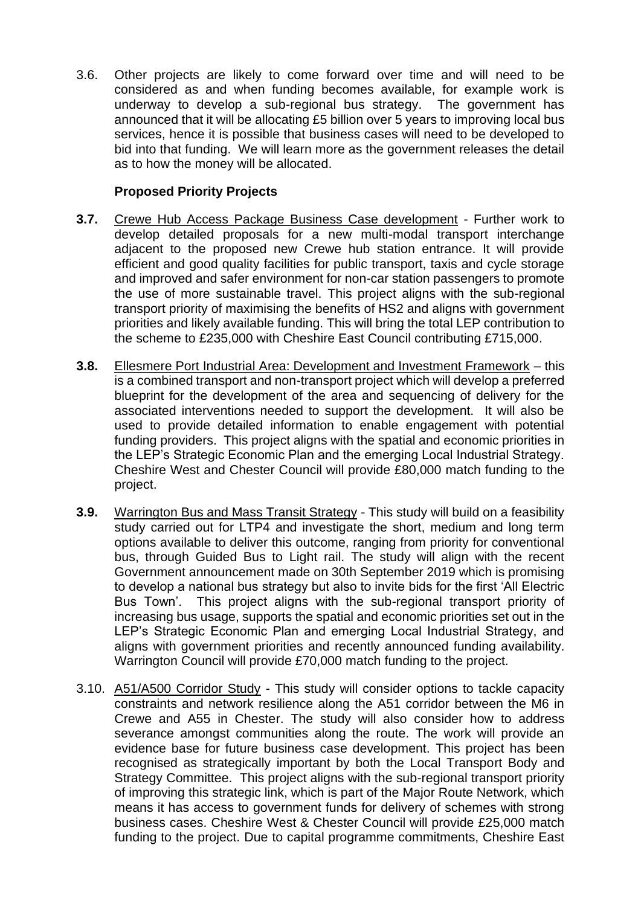3.6. Other projects are likely to come forward over time and will need to be considered as and when funding becomes available, for example work is underway to develop a sub-regional bus strategy. The government has announced that it will be allocating £5 billion over 5 years to improving local bus services, hence it is possible that business cases will need to be developed to bid into that funding. We will learn more as the government releases the detail as to how the money will be allocated.

### **Proposed Priority Projects**

- **3.7.** Crewe Hub Access Package Business Case development Further work to develop detailed proposals for a new multi-modal transport interchange adjacent to the proposed new Crewe hub station entrance. It will provide efficient and good quality facilities for public transport, taxis and cycle storage and improved and safer environment for non-car station passengers to promote the use of more sustainable travel. This project aligns with the sub-regional transport priority of maximising the benefits of HS2 and aligns with government priorities and likely available funding. This will bring the total LEP contribution to the scheme to £235,000 with Cheshire East Council contributing £715,000.
- **3.8.** Ellesmere Port Industrial Area: Development and Investment Framework this is a combined transport and non-transport project which will develop a preferred blueprint for the development of the area and sequencing of delivery for the associated interventions needed to support the development. It will also be used to provide detailed information to enable engagement with potential funding providers. This project aligns with the spatial and economic priorities in the LEP's Strategic Economic Plan and the emerging Local Industrial Strategy. Cheshire West and Chester Council will provide £80,000 match funding to the project.
- **3.9.** Warrington Bus and Mass Transit Strategy This study will build on a feasibility study carried out for LTP4 and investigate the short, medium and long term options available to deliver this outcome, ranging from priority for conventional bus, through Guided Bus to Light rail. The study will align with the recent Government announcement made on 30th September 2019 which is promising to develop a national bus strategy but also to invite bids for the first 'All Electric Bus Town'. This project aligns with the sub-regional transport priority of increasing bus usage, supports the spatial and economic priorities set out in the LEP's Strategic Economic Plan and emerging Local Industrial Strategy, and aligns with government priorities and recently announced funding availability. Warrington Council will provide £70,000 match funding to the project.
- 3.10. A51/A500 Corridor Study This study will consider options to tackle capacity constraints and network resilience along the A51 corridor between the M6 in Crewe and A55 in Chester. The study will also consider how to address severance amongst communities along the route. The work will provide an evidence base for future business case development. This project has been recognised as strategically important by both the Local Transport Body and Strategy Committee. This project aligns with the sub-regional transport priority of improving this strategic link, which is part of the Major Route Network, which means it has access to government funds for delivery of schemes with strong business cases. Cheshire West & Chester Council will provide £25,000 match funding to the project. Due to capital programme commitments, Cheshire East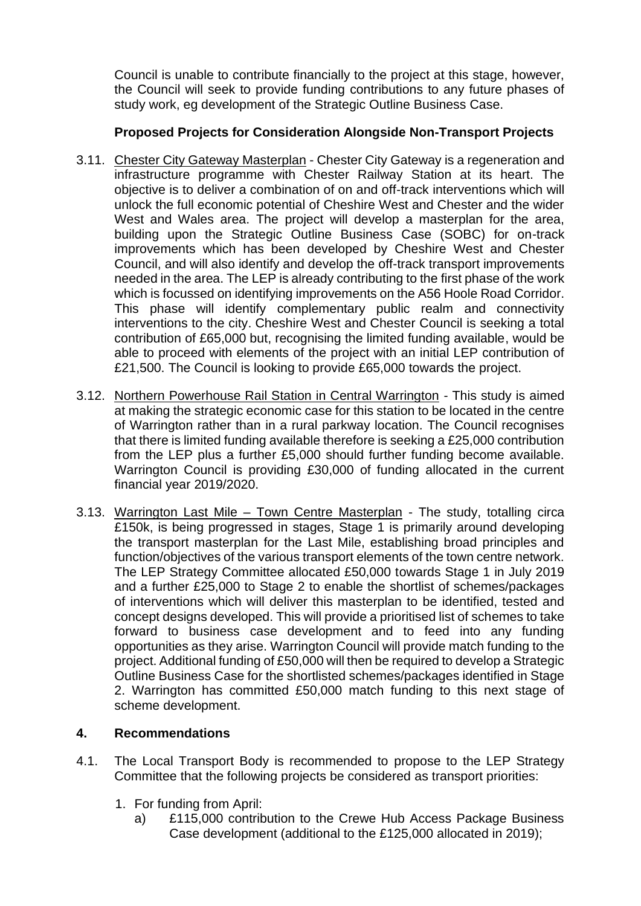Council is unable to contribute financially to the project at this stage, however, the Council will seek to provide funding contributions to any future phases of study work, eg development of the Strategic Outline Business Case.

### **Proposed Projects for Consideration Alongside Non-Transport Projects**

- 3.11. Chester City Gateway Masterplan Chester City Gateway is a regeneration and infrastructure programme with Chester Railway Station at its heart. The objective is to deliver a combination of on and off-track interventions which will unlock the full economic potential of Cheshire West and Chester and the wider West and Wales area. The project will develop a masterplan for the area, building upon the Strategic Outline Business Case (SOBC) for on-track improvements which has been developed by Cheshire West and Chester Council, and will also identify and develop the off-track transport improvements needed in the area. The LEP is already contributing to the first phase of the work which is focussed on identifying improvements on the A56 Hoole Road Corridor. This phase will identify complementary public realm and connectivity interventions to the city. Cheshire West and Chester Council is seeking a total contribution of £65,000 but, recognising the limited funding available, would be able to proceed with elements of the project with an initial LEP contribution of £21,500. The Council is looking to provide £65,000 towards the project.
- 3.12. Northern Powerhouse Rail Station in Central Warrington This study is aimed at making the strategic economic case for this station to be located in the centre of Warrington rather than in a rural parkway location. The Council recognises that there is limited funding available therefore is seeking a £25,000 contribution from the LEP plus a further £5,000 should further funding become available. Warrington Council is providing £30,000 of funding allocated in the current financial year 2019/2020.
- 3.13. Warrington Last Mile Town Centre Masterplan The study, totalling circa £150k, is being progressed in stages, Stage 1 is primarily around developing the transport masterplan for the Last Mile, establishing broad principles and function/objectives of the various transport elements of the town centre network. The LEP Strategy Committee allocated £50,000 towards Stage 1 in July 2019 and a further £25,000 to Stage 2 to enable the shortlist of schemes/packages of interventions which will deliver this masterplan to be identified, tested and concept designs developed. This will provide a prioritised list of schemes to take forward to business case development and to feed into any funding opportunities as they arise. Warrington Council will provide match funding to the project. Additional funding of £50,000 will then be required to develop a Strategic Outline Business Case for the shortlisted schemes/packages identified in Stage 2. Warrington has committed £50,000 match funding to this next stage of scheme development.

### **4. Recommendations**

- 4.1. The Local Transport Body is recommended to propose to the LEP Strategy Committee that the following projects be considered as transport priorities:
	- 1. For funding from April:
		- a) £115,000 contribution to the Crewe Hub Access Package Business Case development (additional to the £125,000 allocated in 2019);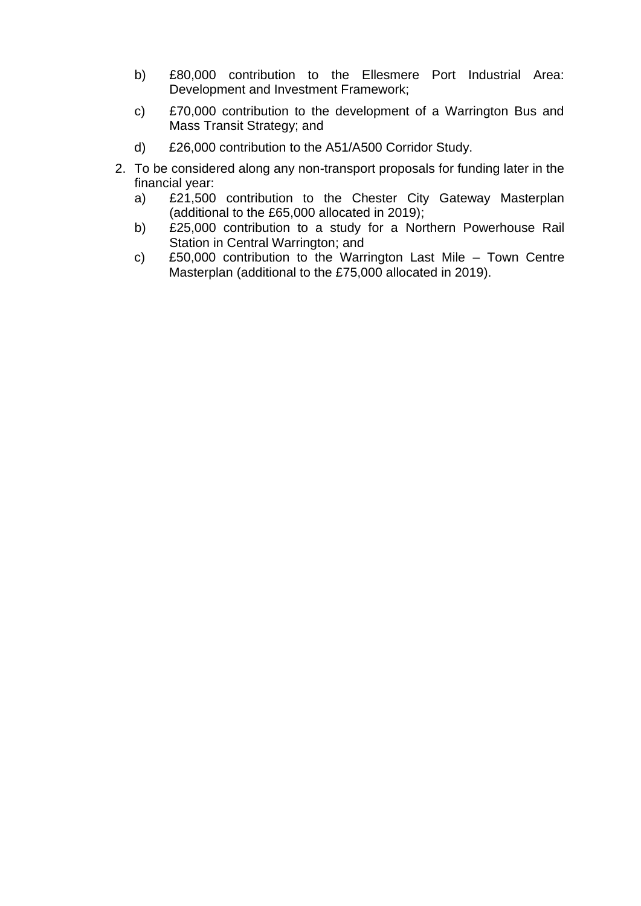- b) £80,000 contribution to the Ellesmere Port Industrial Area: Development and Investment Framework;
- c) £70,000 contribution to the development of a Warrington Bus and Mass Transit Strategy; and
- d) £26,000 contribution to the A51/A500 Corridor Study.
- 2. To be considered along any non-transport proposals for funding later in the financial year:
	- a) £21,500 contribution to the Chester City Gateway Masterplan (additional to the £65,000 allocated in 2019);
	- b) £25,000 contribution to a study for a Northern Powerhouse Rail Station in Central Warrington; and
	- c) £50,000 contribution to the Warrington Last Mile Town Centre Masterplan (additional to the £75,000 allocated in 2019).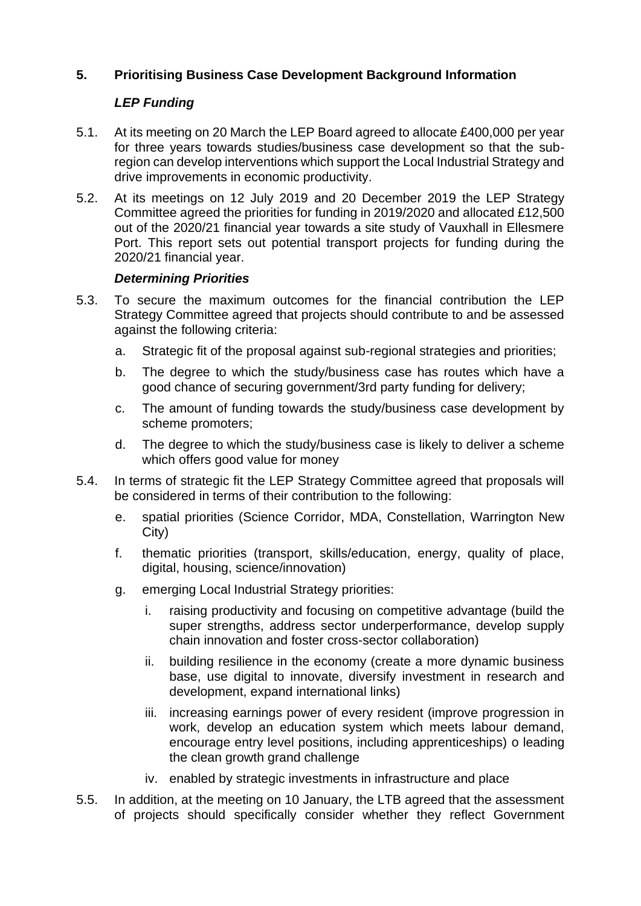### **5. Prioritising Business Case Development Background Information**

### *LEP Funding*

- 5.1. At its meeting on 20 March the LEP Board agreed to allocate £400,000 per year for three years towards studies/business case development so that the subregion can develop interventions which support the Local Industrial Strategy and drive improvements in economic productivity.
- 5.2. At its meetings on 12 July 2019 and 20 December 2019 the LEP Strategy Committee agreed the priorities for funding in 2019/2020 and allocated £12,500 out of the 2020/21 financial year towards a site study of Vauxhall in Ellesmere Port. This report sets out potential transport projects for funding during the 2020/21 financial year.

### *Determining Priorities*

- 5.3. To secure the maximum outcomes for the financial contribution the LEP Strategy Committee agreed that projects should contribute to and be assessed against the following criteria:
	- a. Strategic fit of the proposal against sub-regional strategies and priorities;
	- b. The degree to which the study/business case has routes which have a good chance of securing government/3rd party funding for delivery;
	- c. The amount of funding towards the study/business case development by scheme promoters;
	- d. The degree to which the study/business case is likely to deliver a scheme which offers good value for money
- 5.4. In terms of strategic fit the LEP Strategy Committee agreed that proposals will be considered in terms of their contribution to the following:
	- e. spatial priorities (Science Corridor, MDA, Constellation, Warrington New City)
	- f. thematic priorities (transport, skills/education, energy, quality of place, digital, housing, science/innovation)
	- g. emerging Local Industrial Strategy priorities:
		- i. raising productivity and focusing on competitive advantage (build the super strengths, address sector underperformance, develop supply chain innovation and foster cross-sector collaboration)
		- ii. building resilience in the economy (create a more dynamic business base, use digital to innovate, diversify investment in research and development, expand international links)
		- iii. increasing earnings power of every resident (improve progression in work, develop an education system which meets labour demand, encourage entry level positions, including apprenticeships) o leading the clean growth grand challenge
		- iv. enabled by strategic investments in infrastructure and place
- 5.5. In addition, at the meeting on 10 January, the LTB agreed that the assessment of projects should specifically consider whether they reflect Government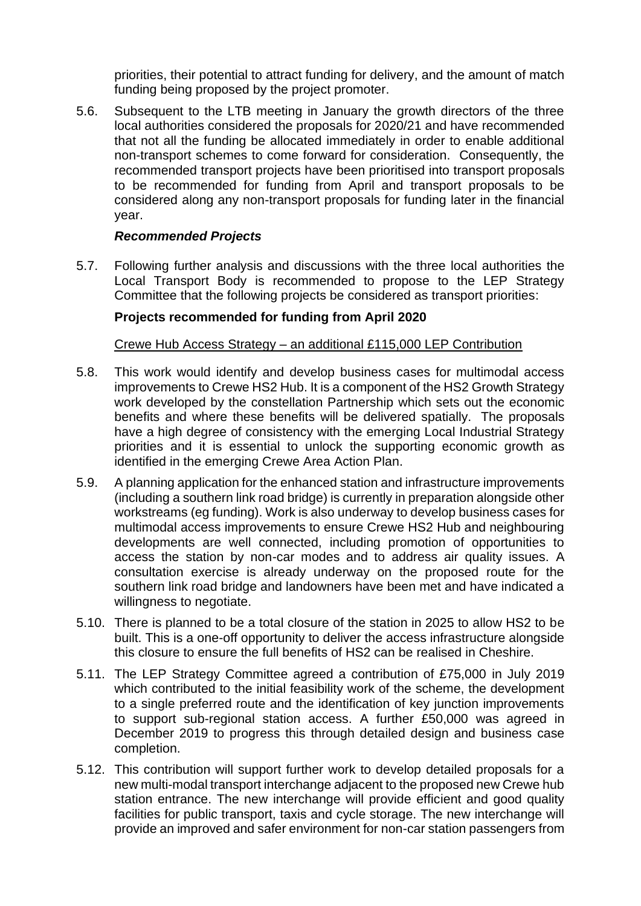priorities, their potential to attract funding for delivery, and the amount of match funding being proposed by the project promoter.

5.6. Subsequent to the LTB meeting in January the growth directors of the three local authorities considered the proposals for 2020/21 and have recommended that not all the funding be allocated immediately in order to enable additional non-transport schemes to come forward for consideration. Consequently, the recommended transport projects have been prioritised into transport proposals to be recommended for funding from April and transport proposals to be considered along any non-transport proposals for funding later in the financial year.

### *Recommended Projects*

5.7. Following further analysis and discussions with the three local authorities the Local Transport Body is recommended to propose to the LEP Strategy Committee that the following projects be considered as transport priorities:

### **Projects recommended for funding from April 2020**

#### Crewe Hub Access Strategy – an additional £115,000 LEP Contribution

- 5.8. This work would identify and develop business cases for multimodal access improvements to Crewe HS2 Hub. It is a component of the HS2 Growth Strategy work developed by the constellation Partnership which sets out the economic benefits and where these benefits will be delivered spatially. The proposals have a high degree of consistency with the emerging Local Industrial Strategy priorities and it is essential to unlock the supporting economic growth as identified in the emerging Crewe Area Action Plan.
- 5.9. A planning application for the enhanced station and infrastructure improvements (including a southern link road bridge) is currently in preparation alongside other workstreams (eg funding). Work is also underway to develop business cases for multimodal access improvements to ensure Crewe HS2 Hub and neighbouring developments are well connected, including promotion of opportunities to access the station by non-car modes and to address air quality issues. A consultation exercise is already underway on the proposed route for the southern link road bridge and landowners have been met and have indicated a willingness to negotiate.
- 5.10. There is planned to be a total closure of the station in 2025 to allow HS2 to be built. This is a one-off opportunity to deliver the access infrastructure alongside this closure to ensure the full benefits of HS2 can be realised in Cheshire.
- 5.11. The LEP Strategy Committee agreed a contribution of £75,000 in July 2019 which contributed to the initial feasibility work of the scheme, the development to a single preferred route and the identification of key junction improvements to support sub-regional station access. A further £50,000 was agreed in December 2019 to progress this through detailed design and business case completion.
- 5.12. This contribution will support further work to develop detailed proposals for a new multi-modal transport interchange adjacent to the proposed new Crewe hub station entrance. The new interchange will provide efficient and good quality facilities for public transport, taxis and cycle storage. The new interchange will provide an improved and safer environment for non-car station passengers from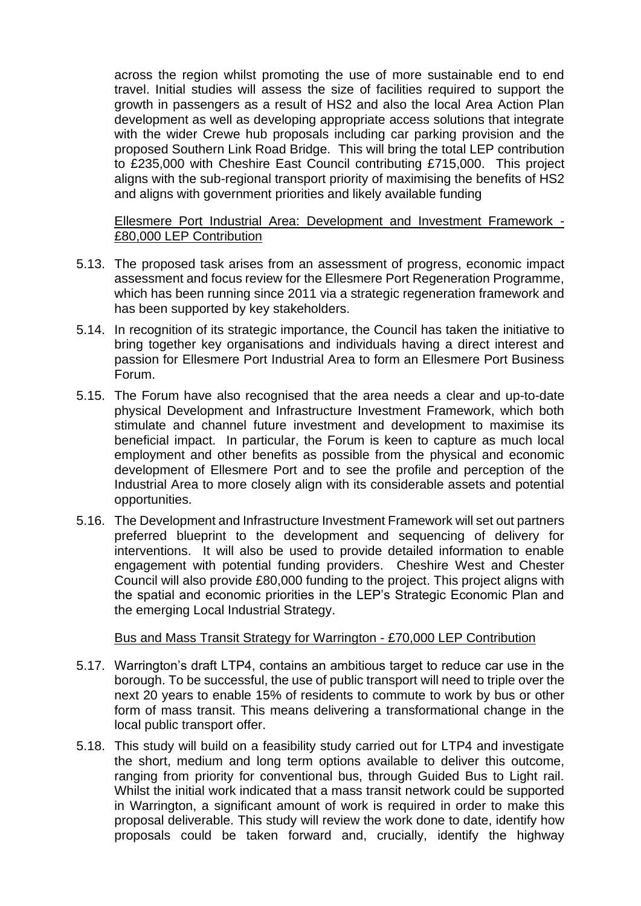across the region whilst promoting the use of more sustainable end to end travel. Initial studies will assess the size of facilities required to support the growth in passengers as a result of HS2 and also the local Area Action Plan development as well as developing appropriate access solutions that integrate with the wider Crewe hub proposals including car parking provision and the proposed Southern Link Road Bridge. This will bring the total LEP contribution to £235,000 with Cheshire East Council contributing £715,000. This project aligns with the sub-regional transport priority of maximising the benefits of HS2 and aligns with government priorities and likely available funding

Ellesmere Port Industrial Area: Development and Investment Framework - £80,000 LEP Contribution

- 5.13. The proposed task arises from an assessment of progress, economic impact assessment and focus review for the Ellesmere Port Regeneration Programme, which has been running since 2011 via a strategic regeneration framework and has been supported by key stakeholders.
- 5.14. In recognition of its strategic importance, the Council has taken the initiative to bring together key organisations and individuals having a direct interest and passion for Ellesmere Port Industrial Area to form an Ellesmere Port Business Forum.
- 5.15. The Forum have also recognised that the area needs a clear and up-to-date physical Development and Infrastructure Investment Framework, which both stimulate and channel future investment and development to maximise its beneficial impact. In particular, the Forum is keen to capture as much local employment and other benefits as possible from the physical and economic development of Ellesmere Port and to see the profile and perception of the Industrial Area to more closely align with its considerable assets and potential opportunities.
- 5.16. The Development and Infrastructure Investment Framework will set out partners preferred blueprint to the development and sequencing of delivery for interventions. It will also be used to provide detailed information to enable engagement with potential funding providers. Cheshire West and Chester Council will also provide £80,000 funding to the project. This project aligns with the spatial and economic priorities in the LEP's Strategic Economic Plan and the emerging Local Industrial Strategy.

#### Bus and Mass Transit Strategy for Warrington - £70,000 LEP Contribution

- 5.17. Warrington's draft LTP4, contains an ambitious target to reduce car use in the borough. To be successful, the use of public transport will need to triple over the next 20 years to enable 15% of residents to commute to work by bus or other form of mass transit. This means delivering a transformational change in the local public transport offer.
- 5.18. This study will build on a feasibility study carried out for LTP4 and investigate the short, medium and long term options available to deliver this outcome, ranging from priority for conventional bus, through Guided Bus to Light rail. Whilst the initial work indicated that a mass transit network could be supported in Warrington, a significant amount of work is required in order to make this proposal deliverable. This study will review the work done to date, identify how proposals could be taken forward and, crucially, identify the highway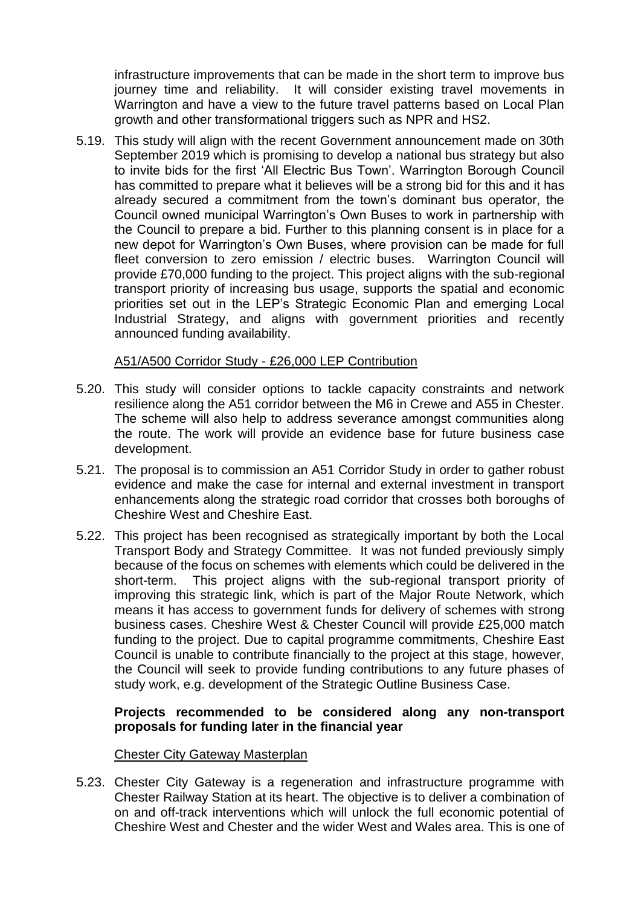infrastructure improvements that can be made in the short term to improve bus journey time and reliability. It will consider existing travel movements in Warrington and have a view to the future travel patterns based on Local Plan growth and other transformational triggers such as NPR and HS2.

5.19. This study will align with the recent Government announcement made on 30th September 2019 which is promising to develop a national bus strategy but also to invite bids for the first 'All Electric Bus Town'. Warrington Borough Council has committed to prepare what it believes will be a strong bid for this and it has already secured a commitment from the town's dominant bus operator, the Council owned municipal Warrington's Own Buses to work in partnership with the Council to prepare a bid. Further to this planning consent is in place for a new depot for Warrington's Own Buses, where provision can be made for full fleet conversion to zero emission / electric buses. Warrington Council will provide £70,000 funding to the project. This project aligns with the sub-regional transport priority of increasing bus usage, supports the spatial and economic priorities set out in the LEP's Strategic Economic Plan and emerging Local Industrial Strategy, and aligns with government priorities and recently announced funding availability.

#### A51/A500 Corridor Study - £26,000 LEP Contribution

- 5.20. This study will consider options to tackle capacity constraints and network resilience along the A51 corridor between the M6 in Crewe and A55 in Chester. The scheme will also help to address severance amongst communities along the route. The work will provide an evidence base for future business case development.
- 5.21. The proposal is to commission an A51 Corridor Study in order to gather robust evidence and make the case for internal and external investment in transport enhancements along the strategic road corridor that crosses both boroughs of Cheshire West and Cheshire East.
- 5.22. This project has been recognised as strategically important by both the Local Transport Body and Strategy Committee. It was not funded previously simply because of the focus on schemes with elements which could be delivered in the short-term. This project aligns with the sub-regional transport priority of improving this strategic link, which is part of the Major Route Network, which means it has access to government funds for delivery of schemes with strong business cases. Cheshire West & Chester Council will provide £25,000 match funding to the project. Due to capital programme commitments, Cheshire East Council is unable to contribute financially to the project at this stage, however, the Council will seek to provide funding contributions to any future phases of study work, e.g. development of the Strategic Outline Business Case.

### **Projects recommended to be considered along any non-transport proposals for funding later in the financial year**

#### Chester City Gateway Masterplan

5.23. Chester City Gateway is a regeneration and infrastructure programme with Chester Railway Station at its heart. The objective is to deliver a combination of on and off-track interventions which will unlock the full economic potential of Cheshire West and Chester and the wider West and Wales area. This is one of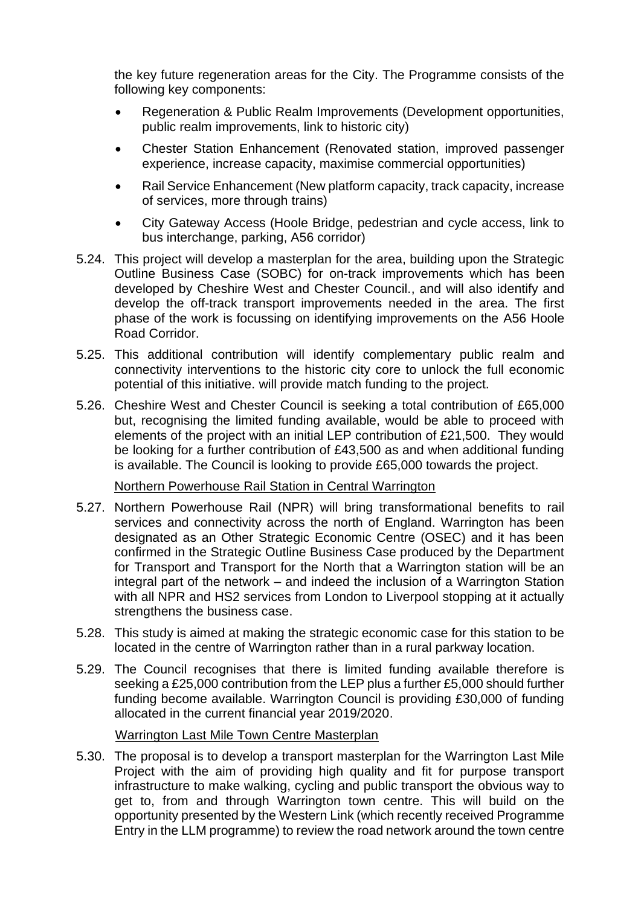the key future regeneration areas for the City. The Programme consists of the following key components:

- Regeneration & Public Realm Improvements (Development opportunities, public realm improvements, link to historic city)
- Chester Station Enhancement (Renovated station, improved passenger experience, increase capacity, maximise commercial opportunities)
- Rail Service Enhancement (New platform capacity, track capacity, increase of services, more through trains)
- City Gateway Access (Hoole Bridge, pedestrian and cycle access, link to bus interchange, parking, A56 corridor)
- 5.24. This project will develop a masterplan for the area, building upon the Strategic Outline Business Case (SOBC) for on-track improvements which has been developed by Cheshire West and Chester Council., and will also identify and develop the off-track transport improvements needed in the area. The first phase of the work is focussing on identifying improvements on the A56 Hoole Road Corridor.
- 5.25. This additional contribution will identify complementary public realm and connectivity interventions to the historic city core to unlock the full economic potential of this initiative. will provide match funding to the project.
- 5.26. Cheshire West and Chester Council is seeking a total contribution of £65,000 but, recognising the limited funding available, would be able to proceed with elements of the project with an initial LEP contribution of £21,500. They would be looking for a further contribution of £43,500 as and when additional funding is available. The Council is looking to provide £65,000 towards the project.

#### Northern Powerhouse Rail Station in Central Warrington

- 5.27. Northern Powerhouse Rail (NPR) will bring transformational benefits to rail services and connectivity across the north of England. Warrington has been designated as an Other Strategic Economic Centre (OSEC) and it has been confirmed in the Strategic Outline Business Case produced by the Department for Transport and Transport for the North that a Warrington station will be an integral part of the network – and indeed the inclusion of a Warrington Station with all NPR and HS2 services from London to Liverpool stopping at it actually strengthens the business case.
- 5.28. This study is aimed at making the strategic economic case for this station to be located in the centre of Warrington rather than in a rural parkway location.
- 5.29. The Council recognises that there is limited funding available therefore is seeking a £25,000 contribution from the LEP plus a further £5,000 should further funding become available. Warrington Council is providing £30,000 of funding allocated in the current financial year 2019/2020.

#### Warrington Last Mile Town Centre Masterplan

5.30. The proposal is to develop a transport masterplan for the Warrington Last Mile Project with the aim of providing high quality and fit for purpose transport infrastructure to make walking, cycling and public transport the obvious way to get to, from and through Warrington town centre. This will build on the opportunity presented by the Western Link (which recently received Programme Entry in the LLM programme) to review the road network around the town centre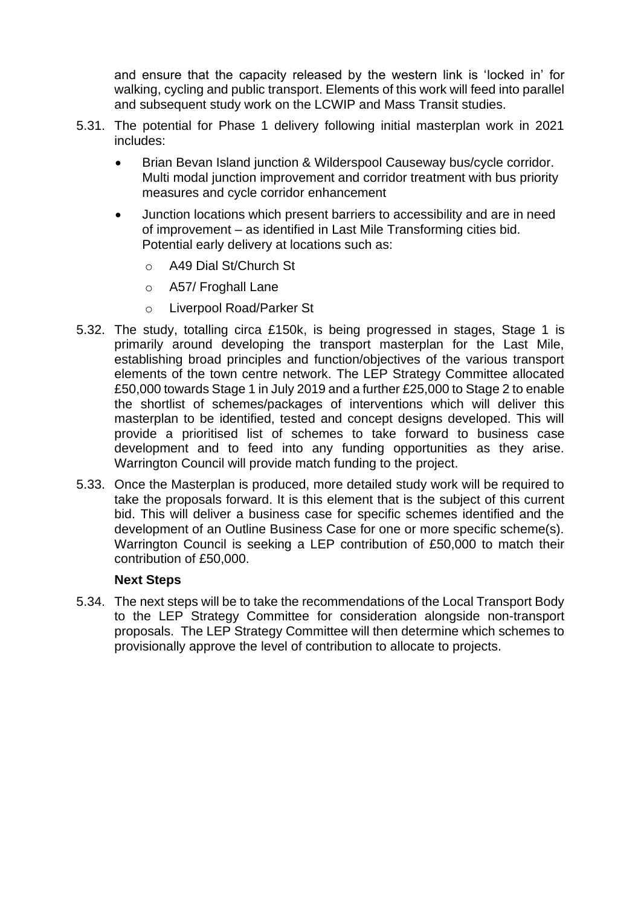and ensure that the capacity released by the western link is 'locked in' for walking, cycling and public transport. Elements of this work will feed into parallel and subsequent study work on the LCWIP and Mass Transit studies.

- 5.31. The potential for Phase 1 delivery following initial masterplan work in 2021 includes:
	- Brian Bevan Island junction & Wilderspool Causeway bus/cycle corridor. Multi modal junction improvement and corridor treatment with bus priority measures and cycle corridor enhancement
	- Junction locations which present barriers to accessibility and are in need of improvement – as identified in Last Mile Transforming cities bid. Potential early delivery at locations such as:
		- o A49 Dial St/Church St
		- o A57/ Froghall Lane
		- o Liverpool Road/Parker St
- 5.32. The study, totalling circa £150k, is being progressed in stages, Stage 1 is primarily around developing the transport masterplan for the Last Mile, establishing broad principles and function/objectives of the various transport elements of the town centre network. The LEP Strategy Committee allocated £50,000 towards Stage 1 in July 2019 and a further £25,000 to Stage 2 to enable the shortlist of schemes/packages of interventions which will deliver this masterplan to be identified, tested and concept designs developed. This will provide a prioritised list of schemes to take forward to business case development and to feed into any funding opportunities as they arise. Warrington Council will provide match funding to the project.
- 5.33. Once the Masterplan is produced, more detailed study work will be required to take the proposals forward. It is this element that is the subject of this current bid. This will deliver a business case for specific schemes identified and the development of an Outline Business Case for one or more specific scheme(s). Warrington Council is seeking a LEP contribution of £50,000 to match their contribution of £50,000.

#### **Next Steps**

5.34. The next steps will be to take the recommendations of the Local Transport Body to the LEP Strategy Committee for consideration alongside non-transport proposals. The LEP Strategy Committee will then determine which schemes to provisionally approve the level of contribution to allocate to projects.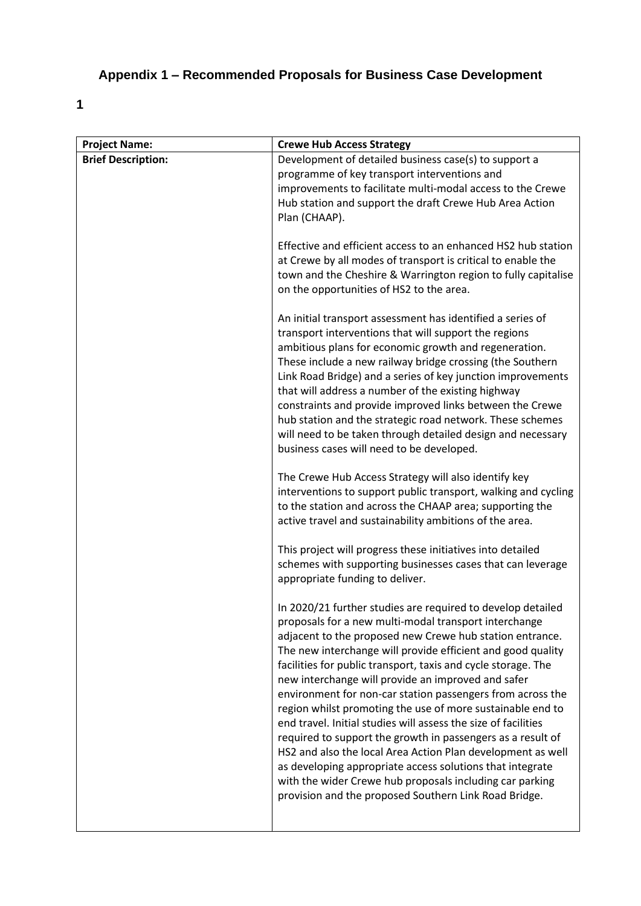## **Appendix 1 – Recommended Proposals for Business Case Development**

**1**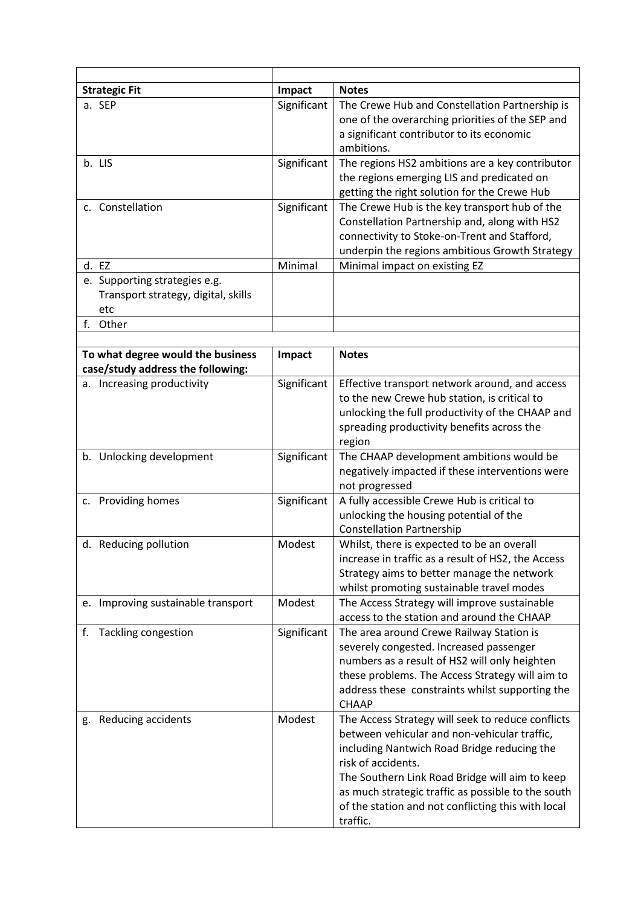| <b>Strategic Fit</b>                                                        | Impact      | <b>Notes</b>                                                                                                                                                                                                                                                                                                                                     |
|-----------------------------------------------------------------------------|-------------|--------------------------------------------------------------------------------------------------------------------------------------------------------------------------------------------------------------------------------------------------------------------------------------------------------------------------------------------------|
| a. SEP                                                                      | Significant | The Crewe Hub and Constellation Partnership is<br>one of the overarching priorities of the SEP and<br>a significant contributor to its economic<br>ambitions.                                                                                                                                                                                    |
| b. LIS                                                                      | Significant | The regions HS2 ambitions are a key contributor<br>the regions emerging LIS and predicated on<br>getting the right solution for the Crewe Hub                                                                                                                                                                                                    |
| c. Constellation                                                            | Significant | The Crewe Hub is the key transport hub of the<br>Constellation Partnership and, along with HS2<br>connectivity to Stoke-on-Trent and Stafford,<br>underpin the regions ambitious Growth Strategy                                                                                                                                                 |
| d. EZ                                                                       | Minimal     | Minimal impact on existing EZ                                                                                                                                                                                                                                                                                                                    |
| e. Supporting strategies e.g.<br>Transport strategy, digital, skills<br>etc |             |                                                                                                                                                                                                                                                                                                                                                  |
| f. Other                                                                    |             |                                                                                                                                                                                                                                                                                                                                                  |
| To what degree would the business<br>case/study address the following:      | Impact      | <b>Notes</b>                                                                                                                                                                                                                                                                                                                                     |
| a. Increasing productivity                                                  | Significant | Effective transport network around, and access<br>to the new Crewe hub station, is critical to<br>unlocking the full productivity of the CHAAP and<br>spreading productivity benefits across the<br>region                                                                                                                                       |
| b. Unlocking development                                                    | Significant | The CHAAP development ambitions would be<br>negatively impacted if these interventions were<br>not progressed                                                                                                                                                                                                                                    |
| c. Providing homes                                                          | Significant | A fully accessible Crewe Hub is critical to<br>unlocking the housing potential of the<br><b>Constellation Partnership</b>                                                                                                                                                                                                                        |
| d. Reducing pollution                                                       | Modest      | Whilst, there is expected to be an overall<br>increase in traffic as a result of HS2, the Access<br>Strategy aims to better manage the network<br>whilst promoting sustainable travel modes                                                                                                                                                      |
| e. Improving sustainable transport                                          | Modest      | The Access Strategy will improve sustainable<br>access to the station and around the CHAAP                                                                                                                                                                                                                                                       |
| <b>Tackling congestion</b><br>f.                                            | Significant | The area around Crewe Railway Station is<br>severely congested. Increased passenger<br>numbers as a result of HS2 will only heighten<br>these problems. The Access Strategy will aim to<br>address these constraints whilst supporting the<br><b>CHAAP</b>                                                                                       |
| g. Reducing accidents                                                       | Modest      | The Access Strategy will seek to reduce conflicts<br>between vehicular and non-vehicular traffic,<br>including Nantwich Road Bridge reducing the<br>risk of accidents.<br>The Southern Link Road Bridge will aim to keep<br>as much strategic traffic as possible to the south<br>of the station and not conflicting this with local<br>traffic. |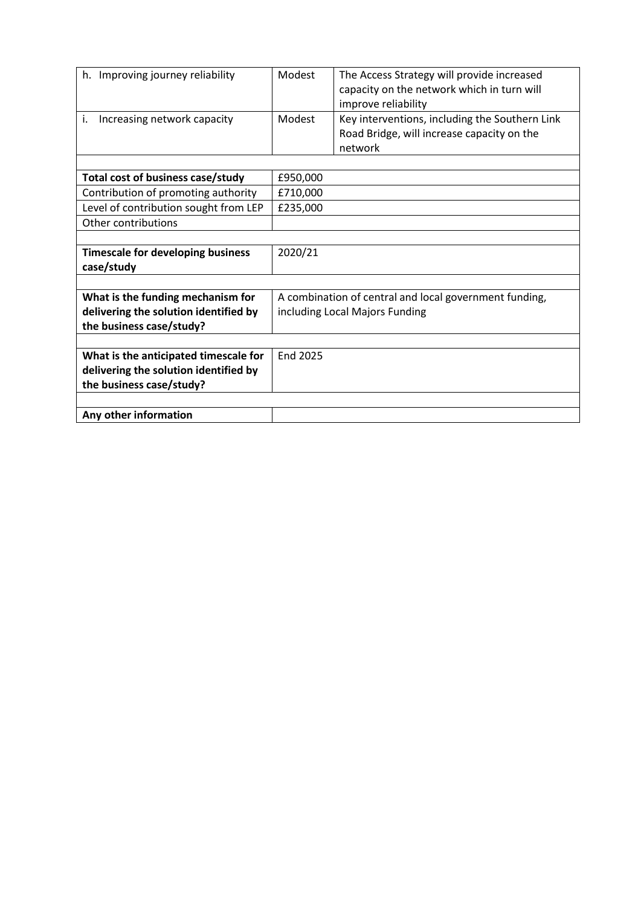| h. Improving journey reliability                                                                           | Modest                         | The Access Strategy will provide increased<br>capacity on the network which in turn will<br>improve reliability |  |
|------------------------------------------------------------------------------------------------------------|--------------------------------|-----------------------------------------------------------------------------------------------------------------|--|
| Increasing network capacity<br>i.                                                                          | Modest                         | Key interventions, including the Southern Link<br>Road Bridge, will increase capacity on the<br>network         |  |
| Total cost of business case/study                                                                          | £950,000                       |                                                                                                                 |  |
| Contribution of promoting authority                                                                        | £710,000                       |                                                                                                                 |  |
| Level of contribution sought from LEP                                                                      | £235,000                       |                                                                                                                 |  |
| Other contributions                                                                                        |                                |                                                                                                                 |  |
|                                                                                                            |                                |                                                                                                                 |  |
| <b>Timescale for developing business</b><br>case/study                                                     | 2020/21                        |                                                                                                                 |  |
|                                                                                                            |                                |                                                                                                                 |  |
| What is the funding mechanism for                                                                          |                                | A combination of central and local government funding,                                                          |  |
| delivering the solution identified by                                                                      | including Local Majors Funding |                                                                                                                 |  |
| the business case/study?                                                                                   |                                |                                                                                                                 |  |
| What is the anticipated timescale for<br>delivering the solution identified by<br>the business case/study? | <b>End 2025</b>                |                                                                                                                 |  |
|                                                                                                            |                                |                                                                                                                 |  |
| Any other information                                                                                      |                                |                                                                                                                 |  |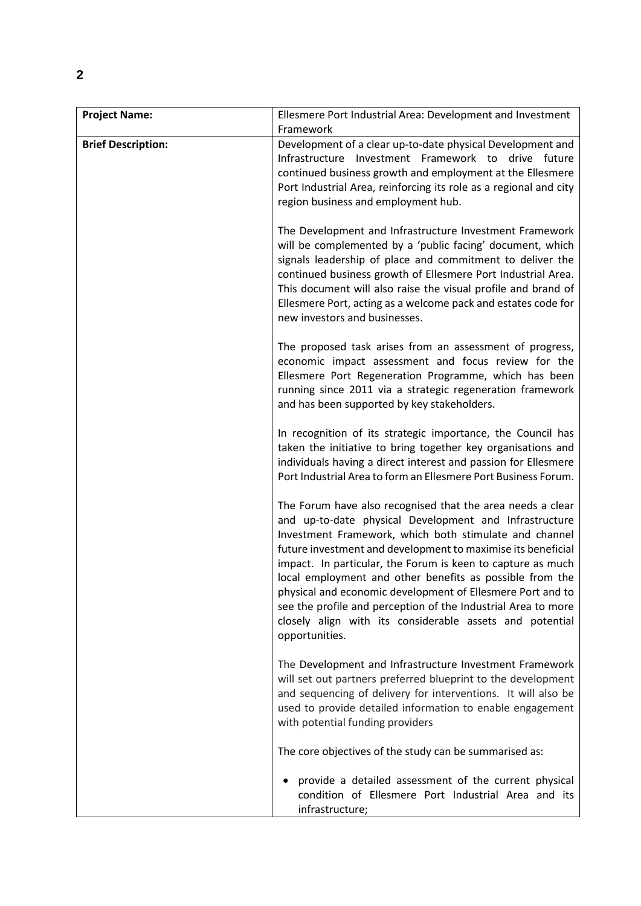| <b>Project Name:</b>      | Ellesmere Port Industrial Area: Development and Investment<br>Framework                                                                                                                                                                                                                                                                                                                                                                                                                                                                                                                |
|---------------------------|----------------------------------------------------------------------------------------------------------------------------------------------------------------------------------------------------------------------------------------------------------------------------------------------------------------------------------------------------------------------------------------------------------------------------------------------------------------------------------------------------------------------------------------------------------------------------------------|
| <b>Brief Description:</b> | Development of a clear up-to-date physical Development and<br>Infrastructure Investment Framework to drive future<br>continued business growth and employment at the Ellesmere<br>Port Industrial Area, reinforcing its role as a regional and city<br>region business and employment hub.                                                                                                                                                                                                                                                                                             |
|                           | The Development and Infrastructure Investment Framework<br>will be complemented by a 'public facing' document, which<br>signals leadership of place and commitment to deliver the<br>continued business growth of Ellesmere Port Industrial Area.<br>This document will also raise the visual profile and brand of<br>Ellesmere Port, acting as a welcome pack and estates code for<br>new investors and businesses.                                                                                                                                                                   |
|                           | The proposed task arises from an assessment of progress,<br>economic impact assessment and focus review for the<br>Ellesmere Port Regeneration Programme, which has been<br>running since 2011 via a strategic regeneration framework<br>and has been supported by key stakeholders.                                                                                                                                                                                                                                                                                                   |
|                           | In recognition of its strategic importance, the Council has<br>taken the initiative to bring together key organisations and<br>individuals having a direct interest and passion for Ellesmere<br>Port Industrial Area to form an Ellesmere Port Business Forum.                                                                                                                                                                                                                                                                                                                        |
|                           | The Forum have also recognised that the area needs a clear<br>and up-to-date physical Development and Infrastructure<br>Investment Framework, which both stimulate and channel<br>future investment and development to maximise its beneficial<br>impact. In particular, the Forum is keen to capture as much<br>local employment and other benefits as possible from the<br>physical and economic development of Ellesmere Port and to<br>see the profile and perception of the Industrial Area to more<br>closely align with its considerable assets and potential<br>opportunities. |
|                           | The Development and Infrastructure Investment Framework<br>will set out partners preferred blueprint to the development<br>and sequencing of delivery for interventions. It will also be<br>used to provide detailed information to enable engagement<br>with potential funding providers                                                                                                                                                                                                                                                                                              |
|                           | The core objectives of the study can be summarised as:                                                                                                                                                                                                                                                                                                                                                                                                                                                                                                                                 |
|                           | provide a detailed assessment of the current physical<br>٠<br>condition of Ellesmere Port Industrial Area and its<br>infrastructure;                                                                                                                                                                                                                                                                                                                                                                                                                                                   |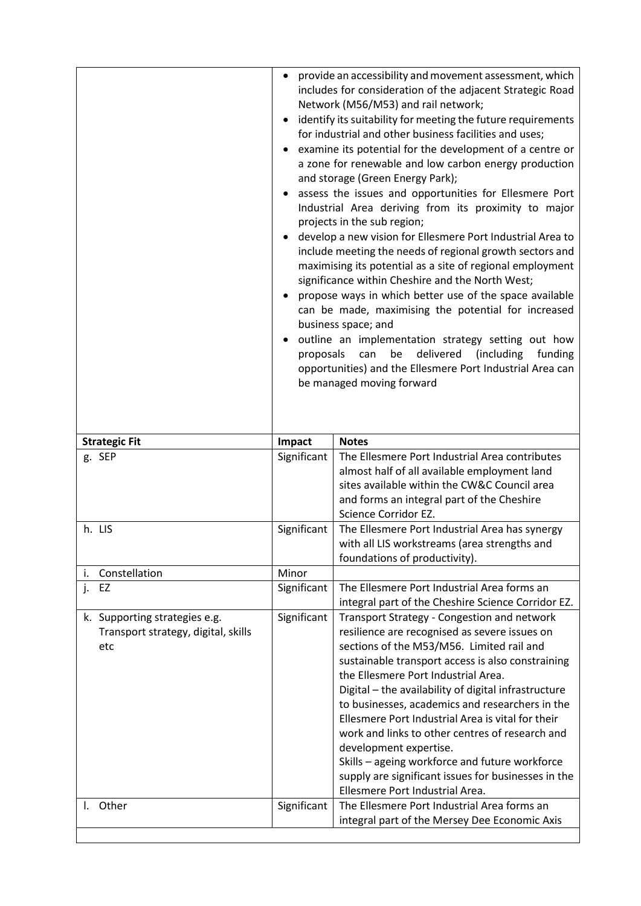| <b>Strategic Fit</b><br>Impact<br><b>Notes</b><br>Significant<br>The Ellesmere Port Industrial Area contributes<br>g. SEP<br>almost half of all available employment land<br>sites available within the CW&C Council area<br>and forms an integral part of the Cheshire<br>Science Corridor EZ.<br>h. LIS<br>Significant<br>The Ellesmere Port Industrial Area has synergy<br>with all LIS workstreams (area strengths and<br>foundations of productivity).<br>Constellation<br>Minor<br>i.<br>Significant<br>The Ellesmere Port Industrial Area forms an<br>j.<br>EZ<br>integral part of the Cheshire Science Corridor EZ.<br>Significant<br>k. Supporting strategies e.g.<br>Transport Strategy - Congestion and network<br>resilience are recognised as severe issues on<br>Transport strategy, digital, skills<br>sections of the M53/M56. Limited rail and<br>etc<br>sustainable transport access is also constraining<br>the Ellesmere Port Industrial Area.<br>Digital - the availability of digital infrastructure<br>to businesses, academics and researchers in the<br>Ellesmere Port Industrial Area is vital for their<br>work and links to other centres of research and<br>development expertise.<br>Skills - ageing workforce and future workforce<br>supply are significant issues for businesses in the<br>Ellesmere Port Industrial Area.<br>The Ellesmere Port Industrial Area forms an<br>Other<br>Significant<br>I.<br>integral part of the Mersey Dee Economic Axis | provide an accessibility and movement assessment, which<br>$\bullet$<br>includes for consideration of the adjacent Strategic Road<br>Network (M56/M53) and rail network;<br>identify its suitability for meeting the future requirements<br>for industrial and other business facilities and uses;<br>examine its potential for the development of a centre or<br>a zone for renewable and low carbon energy production<br>and storage (Green Energy Park);<br>assess the issues and opportunities for Ellesmere Port<br>Industrial Area deriving from its proximity to major<br>projects in the sub region;<br>develop a new vision for Ellesmere Port Industrial Area to<br>include meeting the needs of regional growth sectors and<br>maximising its potential as a site of regional employment<br>significance within Cheshire and the North West;<br>propose ways in which better use of the space available<br>can be made, maximising the potential for increased<br>business space; and<br>outline an implementation strategy setting out how<br>delivered<br>(including<br>proposals<br>can<br>be<br>funding<br>opportunities) and the Ellesmere Port Industrial Area can<br>be managed moving forward |  |
|-------------------------------------------------------------------------------------------------------------------------------------------------------------------------------------------------------------------------------------------------------------------------------------------------------------------------------------------------------------------------------------------------------------------------------------------------------------------------------------------------------------------------------------------------------------------------------------------------------------------------------------------------------------------------------------------------------------------------------------------------------------------------------------------------------------------------------------------------------------------------------------------------------------------------------------------------------------------------------------------------------------------------------------------------------------------------------------------------------------------------------------------------------------------------------------------------------------------------------------------------------------------------------------------------------------------------------------------------------------------------------------------------------------------------------------------------------------------------------------------|------------------------------------------------------------------------------------------------------------------------------------------------------------------------------------------------------------------------------------------------------------------------------------------------------------------------------------------------------------------------------------------------------------------------------------------------------------------------------------------------------------------------------------------------------------------------------------------------------------------------------------------------------------------------------------------------------------------------------------------------------------------------------------------------------------------------------------------------------------------------------------------------------------------------------------------------------------------------------------------------------------------------------------------------------------------------------------------------------------------------------------------------------------------------------------------------------------------|--|
|                                                                                                                                                                                                                                                                                                                                                                                                                                                                                                                                                                                                                                                                                                                                                                                                                                                                                                                                                                                                                                                                                                                                                                                                                                                                                                                                                                                                                                                                                           |                                                                                                                                                                                                                                                                                                                                                                                                                                                                                                                                                                                                                                                                                                                                                                                                                                                                                                                                                                                                                                                                                                                                                                                                                  |  |
|                                                                                                                                                                                                                                                                                                                                                                                                                                                                                                                                                                                                                                                                                                                                                                                                                                                                                                                                                                                                                                                                                                                                                                                                                                                                                                                                                                                                                                                                                           |                                                                                                                                                                                                                                                                                                                                                                                                                                                                                                                                                                                                                                                                                                                                                                                                                                                                                                                                                                                                                                                                                                                                                                                                                  |  |
|                                                                                                                                                                                                                                                                                                                                                                                                                                                                                                                                                                                                                                                                                                                                                                                                                                                                                                                                                                                                                                                                                                                                                                                                                                                                                                                                                                                                                                                                                           |                                                                                                                                                                                                                                                                                                                                                                                                                                                                                                                                                                                                                                                                                                                                                                                                                                                                                                                                                                                                                                                                                                                                                                                                                  |  |
|                                                                                                                                                                                                                                                                                                                                                                                                                                                                                                                                                                                                                                                                                                                                                                                                                                                                                                                                                                                                                                                                                                                                                                                                                                                                                                                                                                                                                                                                                           |                                                                                                                                                                                                                                                                                                                                                                                                                                                                                                                                                                                                                                                                                                                                                                                                                                                                                                                                                                                                                                                                                                                                                                                                                  |  |
|                                                                                                                                                                                                                                                                                                                                                                                                                                                                                                                                                                                                                                                                                                                                                                                                                                                                                                                                                                                                                                                                                                                                                                                                                                                                                                                                                                                                                                                                                           |                                                                                                                                                                                                                                                                                                                                                                                                                                                                                                                                                                                                                                                                                                                                                                                                                                                                                                                                                                                                                                                                                                                                                                                                                  |  |
|                                                                                                                                                                                                                                                                                                                                                                                                                                                                                                                                                                                                                                                                                                                                                                                                                                                                                                                                                                                                                                                                                                                                                                                                                                                                                                                                                                                                                                                                                           |                                                                                                                                                                                                                                                                                                                                                                                                                                                                                                                                                                                                                                                                                                                                                                                                                                                                                                                                                                                                                                                                                                                                                                                                                  |  |
|                                                                                                                                                                                                                                                                                                                                                                                                                                                                                                                                                                                                                                                                                                                                                                                                                                                                                                                                                                                                                                                                                                                                                                                                                                                                                                                                                                                                                                                                                           |                                                                                                                                                                                                                                                                                                                                                                                                                                                                                                                                                                                                                                                                                                                                                                                                                                                                                                                                                                                                                                                                                                                                                                                                                  |  |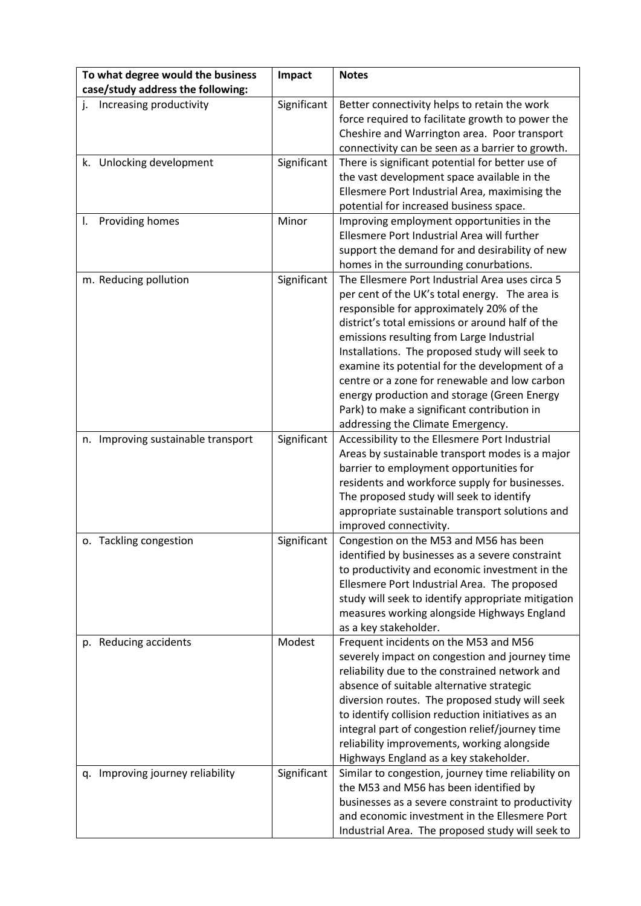| To what degree would the business<br>case/study address the following: | Impact      | <b>Notes</b>                                                                                                                                                                                                                                                                                                                                                                                                                                                                                                                           |
|------------------------------------------------------------------------|-------------|----------------------------------------------------------------------------------------------------------------------------------------------------------------------------------------------------------------------------------------------------------------------------------------------------------------------------------------------------------------------------------------------------------------------------------------------------------------------------------------------------------------------------------------|
| Increasing productivity<br>j.                                          | Significant | Better connectivity helps to retain the work<br>force required to facilitate growth to power the<br>Cheshire and Warrington area. Poor transport<br>connectivity can be seen as a barrier to growth.                                                                                                                                                                                                                                                                                                                                   |
| k. Unlocking development                                               | Significant | There is significant potential for better use of<br>the vast development space available in the<br>Ellesmere Port Industrial Area, maximising the<br>potential for increased business space.                                                                                                                                                                                                                                                                                                                                           |
| Providing homes<br>I.                                                  | Minor       | Improving employment opportunities in the<br>Ellesmere Port Industrial Area will further<br>support the demand for and desirability of new<br>homes in the surrounding conurbations.                                                                                                                                                                                                                                                                                                                                                   |
| m. Reducing pollution                                                  | Significant | The Ellesmere Port Industrial Area uses circa 5<br>per cent of the UK's total energy. The area is<br>responsible for approximately 20% of the<br>district's total emissions or around half of the<br>emissions resulting from Large Industrial<br>Installations. The proposed study will seek to<br>examine its potential for the development of a<br>centre or a zone for renewable and low carbon<br>energy production and storage (Green Energy<br>Park) to make a significant contribution in<br>addressing the Climate Emergency. |
| n. Improving sustainable transport                                     | Significant | Accessibility to the Ellesmere Port Industrial<br>Areas by sustainable transport modes is a major<br>barrier to employment opportunities for<br>residents and workforce supply for businesses.<br>The proposed study will seek to identify<br>appropriate sustainable transport solutions and<br>improved connectivity.                                                                                                                                                                                                                |
| o. Tackling congestion                                                 | Significant | Congestion on the M53 and M56 has been<br>identified by businesses as a severe constraint<br>to productivity and economic investment in the<br>Ellesmere Port Industrial Area. The proposed<br>study will seek to identify appropriate mitigation<br>measures working alongside Highways England<br>as a key stakeholder.                                                                                                                                                                                                              |
| p. Reducing accidents                                                  | Modest      | Frequent incidents on the M53 and M56<br>severely impact on congestion and journey time<br>reliability due to the constrained network and<br>absence of suitable alternative strategic<br>diversion routes. The proposed study will seek<br>to identify collision reduction initiatives as an<br>integral part of congestion relief/journey time<br>reliability improvements, working alongside<br>Highways England as a key stakeholder.                                                                                              |
| q. Improving journey reliability                                       | Significant | Similar to congestion, journey time reliability on<br>the M53 and M56 has been identified by<br>businesses as a severe constraint to productivity<br>and economic investment in the Ellesmere Port<br>Industrial Area. The proposed study will seek to                                                                                                                                                                                                                                                                                 |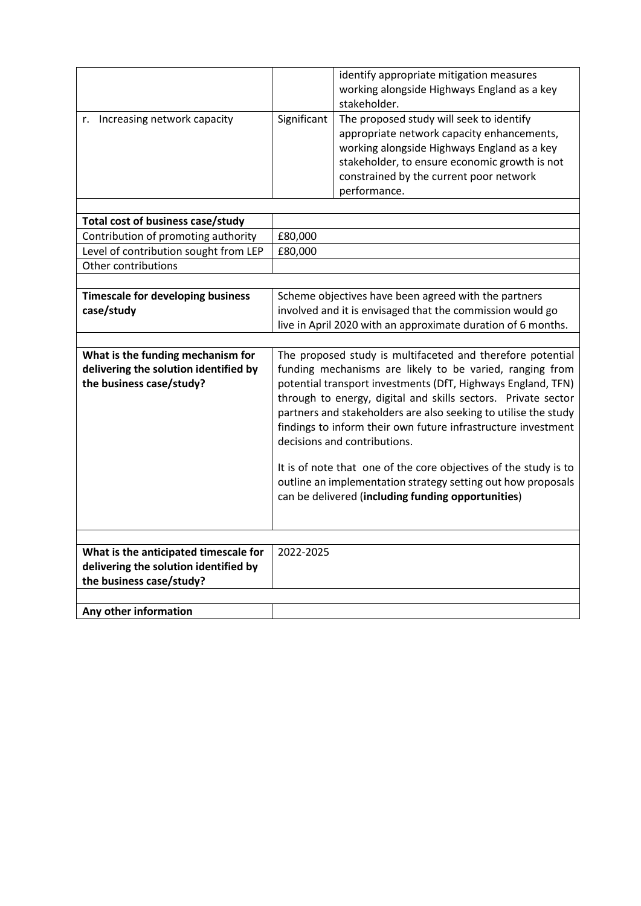| r. Increasing network capacity                                                                             | Significant                                                                                                                                                                                                                                                                                                                                                                                                                                                                                                                                                                                                           | identify appropriate mitigation measures<br>working alongside Highways England as a key<br>stakeholder.<br>The proposed study will seek to identify<br>appropriate network capacity enhancements,<br>working alongside Highways England as a key<br>stakeholder, to ensure economic growth is not<br>constrained by the current poor network |  |
|------------------------------------------------------------------------------------------------------------|-----------------------------------------------------------------------------------------------------------------------------------------------------------------------------------------------------------------------------------------------------------------------------------------------------------------------------------------------------------------------------------------------------------------------------------------------------------------------------------------------------------------------------------------------------------------------------------------------------------------------|----------------------------------------------------------------------------------------------------------------------------------------------------------------------------------------------------------------------------------------------------------------------------------------------------------------------------------------------|--|
|                                                                                                            |                                                                                                                                                                                                                                                                                                                                                                                                                                                                                                                                                                                                                       | performance.                                                                                                                                                                                                                                                                                                                                 |  |
| Total cost of business case/study                                                                          |                                                                                                                                                                                                                                                                                                                                                                                                                                                                                                                                                                                                                       |                                                                                                                                                                                                                                                                                                                                              |  |
| Contribution of promoting authority                                                                        | £80,000                                                                                                                                                                                                                                                                                                                                                                                                                                                                                                                                                                                                               |                                                                                                                                                                                                                                                                                                                                              |  |
| Level of contribution sought from LEP                                                                      | £80,000                                                                                                                                                                                                                                                                                                                                                                                                                                                                                                                                                                                                               |                                                                                                                                                                                                                                                                                                                                              |  |
| Other contributions                                                                                        |                                                                                                                                                                                                                                                                                                                                                                                                                                                                                                                                                                                                                       |                                                                                                                                                                                                                                                                                                                                              |  |
|                                                                                                            |                                                                                                                                                                                                                                                                                                                                                                                                                                                                                                                                                                                                                       |                                                                                                                                                                                                                                                                                                                                              |  |
| <b>Timescale for developing business</b><br>case/study                                                     | Scheme objectives have been agreed with the partners<br>involved and it is envisaged that the commission would go<br>live in April 2020 with an approximate duration of 6 months.                                                                                                                                                                                                                                                                                                                                                                                                                                     |                                                                                                                                                                                                                                                                                                                                              |  |
|                                                                                                            |                                                                                                                                                                                                                                                                                                                                                                                                                                                                                                                                                                                                                       |                                                                                                                                                                                                                                                                                                                                              |  |
| What is the funding mechanism for<br>delivering the solution identified by<br>the business case/study?     | The proposed study is multifaceted and therefore potential<br>funding mechanisms are likely to be varied, ranging from<br>potential transport investments (DfT, Highways England, TFN)<br>through to energy, digital and skills sectors. Private sector<br>partners and stakeholders are also seeking to utilise the study<br>findings to inform their own future infrastructure investment<br>decisions and contributions.<br>It is of note that one of the core objectives of the study is to<br>outline an implementation strategy setting out how proposals<br>can be delivered (including funding opportunities) |                                                                                                                                                                                                                                                                                                                                              |  |
|                                                                                                            |                                                                                                                                                                                                                                                                                                                                                                                                                                                                                                                                                                                                                       |                                                                                                                                                                                                                                                                                                                                              |  |
| What is the anticipated timescale for<br>delivering the solution identified by<br>the business case/study? | 2022-2025                                                                                                                                                                                                                                                                                                                                                                                                                                                                                                                                                                                                             |                                                                                                                                                                                                                                                                                                                                              |  |
|                                                                                                            |                                                                                                                                                                                                                                                                                                                                                                                                                                                                                                                                                                                                                       |                                                                                                                                                                                                                                                                                                                                              |  |
| Any other information                                                                                      |                                                                                                                                                                                                                                                                                                                                                                                                                                                                                                                                                                                                                       |                                                                                                                                                                                                                                                                                                                                              |  |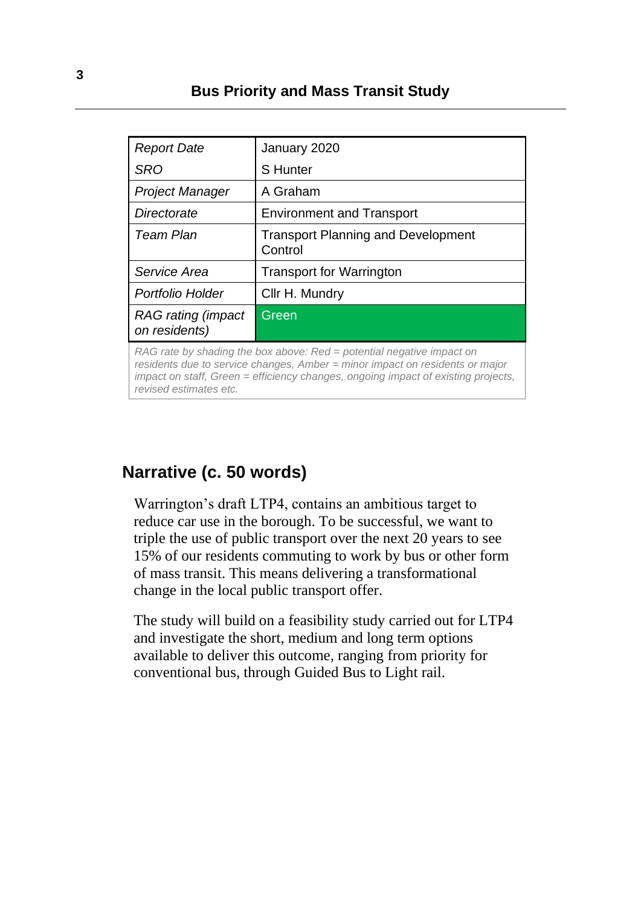### **Bus Priority and Mass Transit Study**

| <b>Report Date</b>                                                                                                                                                                                                                                                   | January 2020                                         |  |
|----------------------------------------------------------------------------------------------------------------------------------------------------------------------------------------------------------------------------------------------------------------------|------------------------------------------------------|--|
| SRO                                                                                                                                                                                                                                                                  | <b>S</b> Hunter                                      |  |
| <b>Project Manager</b>                                                                                                                                                                                                                                               | A Graham                                             |  |
| Directorate                                                                                                                                                                                                                                                          | <b>Environment and Transport</b>                     |  |
| Team Plan                                                                                                                                                                                                                                                            | <b>Transport Planning and Development</b><br>Control |  |
| Service Area                                                                                                                                                                                                                                                         | <b>Transport for Warrington</b>                      |  |
| Portfolio Holder                                                                                                                                                                                                                                                     | Cllr H. Mundry                                       |  |
| RAG rating (impact<br>on residents)                                                                                                                                                                                                                                  | Green                                                |  |
| RAG rate by shading the box above: Red = potential negative impact on<br>residents due to service changes, Amber = minor impact on residents or major<br>impact on staff, Green = efficiency changes, ongoing impact of existing projects,<br>revised estimates etc. |                                                      |  |

### **Narrative (c. 50 words)**

Warrington's draft LTP4, contains an ambitious target to reduce car use in the borough. To be successful, we want to triple the use of public transport over the next 20 years to see 15% of our residents commuting to work by bus or other form of mass transit. This means delivering a transformational change in the local public transport offer.

The study will build on a feasibility study carried out for LTP4 and investigate the short, medium and long term options available to deliver this outcome, ranging from priority for conventional bus, through Guided Bus to Light rail.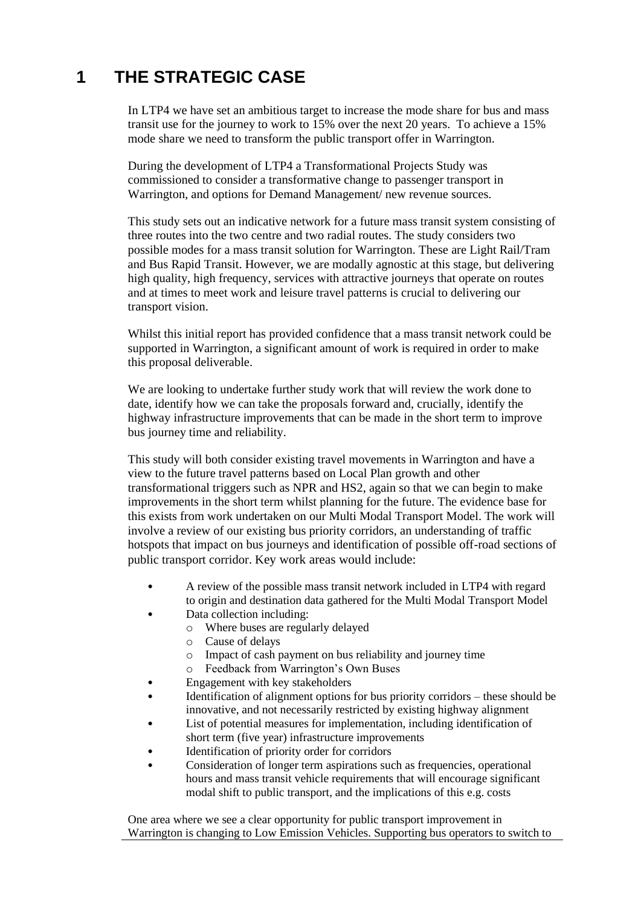## **1 THE STRATEGIC CASE**

In LTP4 we have set an ambitious target to increase the mode share for bus and mass transit use for the journey to work to 15% over the next 20 years. To achieve a 15% mode share we need to transform the public transport offer in Warrington.

During the development of LTP4 a Transformational Projects Study was commissioned to consider a transformative change to passenger transport in Warrington, and options for Demand Management/ new revenue sources.

This study sets out an indicative network for a future mass transit system consisting of three routes into the two centre and two radial routes. The study considers two possible modes for a mass transit solution for Warrington. These are Light Rail/Tram and Bus Rapid Transit. However, we are modally agnostic at this stage, but delivering high quality, high frequency, services with attractive journeys that operate on routes and at times to meet work and leisure travel patterns is crucial to delivering our transport vision.

Whilst this initial report has provided confidence that a mass transit network could be supported in Warrington, a significant amount of work is required in order to make this proposal deliverable.

We are looking to undertake further study work that will review the work done to date, identify how we can take the proposals forward and, crucially, identify the highway infrastructure improvements that can be made in the short term to improve bus journey time and reliability.

This study will both consider existing travel movements in Warrington and have a view to the future travel patterns based on Local Plan growth and other transformational triggers such as NPR and HS2, again so that we can begin to make improvements in the short term whilst planning for the future. The evidence base for this exists from work undertaken on our Multi Modal Transport Model. The work will involve a review of our existing bus priority corridors, an understanding of traffic hotspots that impact on bus journeys and identification of possible off-road sections of public transport corridor. Key work areas would include:

- A review of the possible mass transit network included in LTP4 with regard to origin and destination data gathered for the Multi Modal Transport Model
- Data collection including:
	- o Where buses are regularly delayed
	- o Cause of delays
	- o Impact of cash payment on bus reliability and journey time
	- o Feedback from Warrington's Own Buses
- Engagement with key stakeholders
- Identification of alignment options for bus priority corridors these should be innovative, and not necessarily restricted by existing highway alignment
- List of potential measures for implementation, including identification of short term (five year) infrastructure improvements
- Identification of priority order for corridors
- Consideration of longer term aspirations such as frequencies, operational hours and mass transit vehicle requirements that will encourage significant modal shift to public transport, and the implications of this e.g. costs

One area where we see a clear opportunity for public transport improvement in Warrington is changing to Low Emission Vehicles. Supporting bus operators to switch to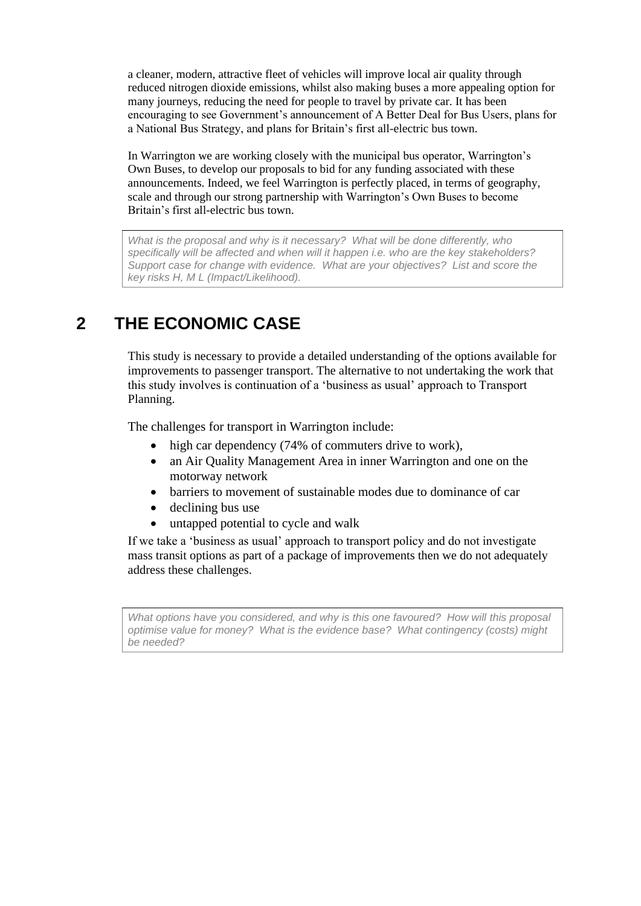a cleaner, modern, attractive fleet of vehicles will improve local air quality through reduced nitrogen dioxide emissions, whilst also making buses a more appealing option for many journeys, reducing the need for people to travel by private car. It has been encouraging to see Government's announcement of A Better Deal for Bus Users, plans for a National Bus Strategy, and plans for Britain's first all-electric bus town.

In Warrington we are working closely with the municipal bus operator, Warrington's Own Buses, to develop our proposals to bid for any funding associated with these announcements. Indeed, we feel Warrington is perfectly placed, in terms of geography, scale and through our strong partnership with Warrington's Own Buses to become Britain's first all-electric bus town.

*What is the proposal and why is it necessary? What will be done differently, who specifically will be affected and when will it happen i.e. who are the key stakeholders? Support case for change with evidence. What are your objectives? List and score the key risks H, M L (Impact/Likelihood).*

## **2 THE ECONOMIC CASE**

This study is necessary to provide a detailed understanding of the options available for improvements to passenger transport. The alternative to not undertaking the work that this study involves is continuation of a 'business as usual' approach to Transport Planning.

The challenges for transport in Warrington include:

- high car dependency (74% of commuters drive to work),
- an Air Quality Management Area in inner Warrington and one on the motorway network
- barriers to movement of sustainable modes due to dominance of car
- declining bus use
- untapped potential to cycle and walk

If we take a 'business as usual' approach to transport policy and do not investigate mass transit options as part of a package of improvements then we do not adequately address these challenges.

*What options have you considered, and why is this one favoured? How will this proposal optimise value for money? What is the evidence base? What contingency (costs) might be needed?*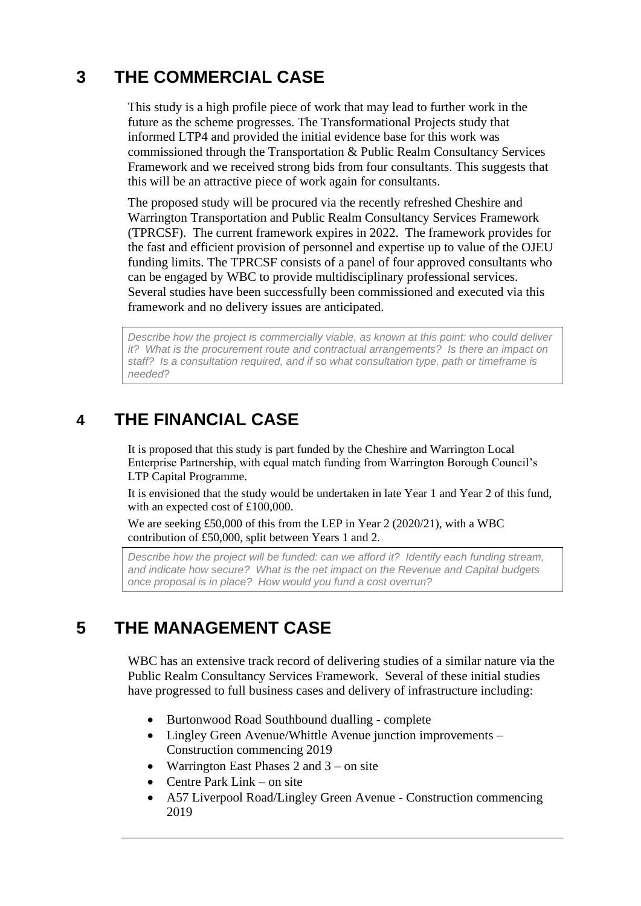## **3 THE COMMERCIAL CASE**

This study is a high profile piece of work that may lead to further work in the future as the scheme progresses. The Transformational Projects study that informed LTP4 and provided the initial evidence base for this work was commissioned through the Transportation & Public Realm Consultancy Services Framework and we received strong bids from four consultants. This suggests that this will be an attractive piece of work again for consultants.

The proposed study will be procured via the recently refreshed Cheshire and Warrington Transportation and Public Realm Consultancy Services Framework (TPRCSF). The current framework expires in 2022. The framework provides for the fast and efficient provision of personnel and expertise up to value of the OJEU funding limits. The TPRCSF consists of a panel of four approved consultants who can be engaged by WBC to provide multidisciplinary professional services. Several studies have been successfully been commissioned and executed via this framework and no delivery issues are anticipated.

*Describe how the project is commercially viable, as known at this point: who could deliver it? What is the procurement route and contractual arrangements? Is there an impact on staff? Is a consultation required, and if so what consultation type, path or timeframe is needed?*

### **4 THE FINANCIAL CASE**

It is proposed that this study is part funded by the Cheshire and Warrington Local Enterprise Partnership, with equal match funding from Warrington Borough Council's LTP Capital Programme.

It is envisioned that the study would be undertaken in late Year 1 and Year 2 of this fund, with an expected cost of £100,000.

We are seeking £50,000 of this from the LEP in Year 2 (2020/21), with a WBC contribution of £50,000, split between Years 1 and 2.

*Describe how the project will be funded: can we afford it? Identify each funding stream, and indicate how secure? What is the net impact on the Revenue and Capital budgets once proposal is in place? How would you fund a cost overrun?*

## **5 THE MANAGEMENT CASE**

WBC has an extensive track record of delivering studies of a similar nature via the Public Realm Consultancy Services Framework. Several of these initial studies have progressed to full business cases and delivery of infrastructure including:

- Burtonwood Road Southbound dualling complete
- Lingley Green Avenue/Whittle Avenue junction improvements Construction commencing 2019
- Warrington East Phases 2 and  $3$  on site
- Centre Park Link on site
- A57 Liverpool Road/Lingley Green Avenue Construction commencing 2019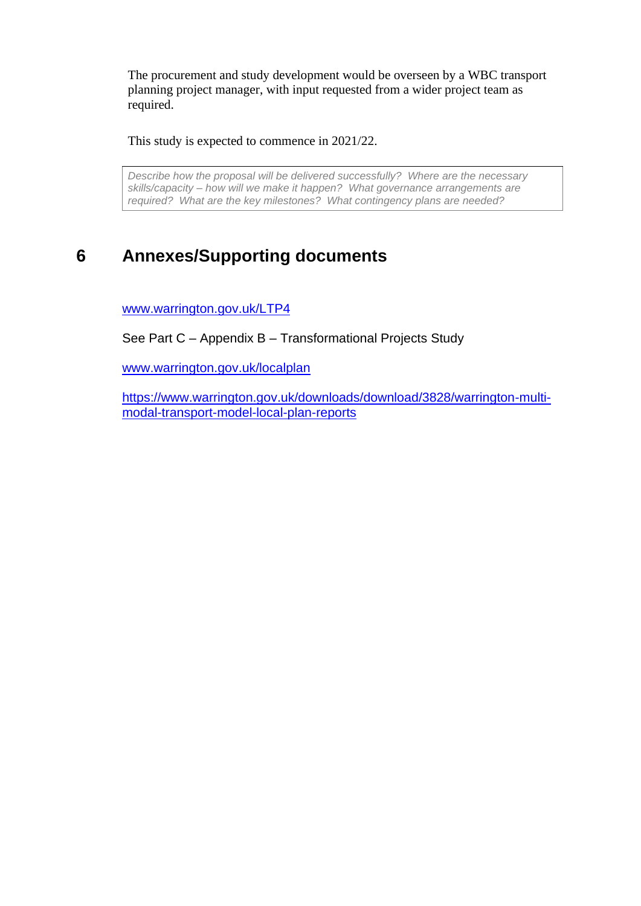The procurement and study development would be overseen by a WBC transport planning project manager, with input requested from a wider project team as required.

This study is expected to commence in 2021/22.

*Describe how the proposal will be delivered successfully? Where are the necessary skills/capacity – how will we make it happen? What governance arrangements are required? What are the key milestones? What contingency plans are needed?*

## **6 Annexes/Supporting documents**

www.warrington.gov.uk/LTP4

See Part C – Appendix B – Transformational Projects Study

www.warrington.gov.uk/localplan

https://www.warrington.gov.uk/downloads/download/3828/warrington-multimodal-transport-model-local-plan-reports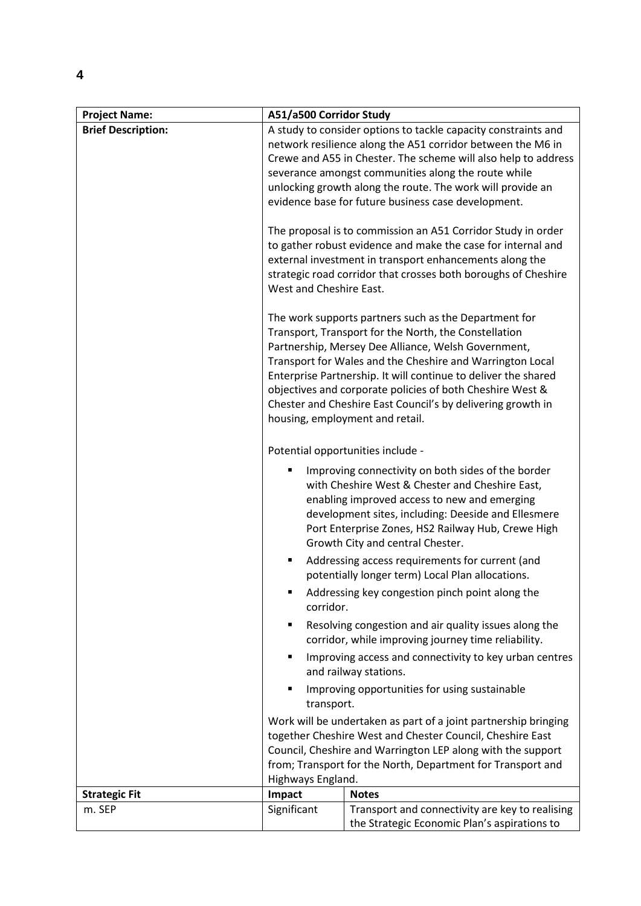| <b>Project Name:</b>      | A51/a500 Corridor Study                                                                                                                                                                                                                                                                                                                                                                                                                                             |                                                                                                                                                                                                                                                                                                        |  |
|---------------------------|---------------------------------------------------------------------------------------------------------------------------------------------------------------------------------------------------------------------------------------------------------------------------------------------------------------------------------------------------------------------------------------------------------------------------------------------------------------------|--------------------------------------------------------------------------------------------------------------------------------------------------------------------------------------------------------------------------------------------------------------------------------------------------------|--|
| <b>Brief Description:</b> | A study to consider options to tackle capacity constraints and<br>network resilience along the A51 corridor between the M6 in<br>Crewe and A55 in Chester. The scheme will also help to address<br>severance amongst communities along the route while<br>unlocking growth along the route. The work will provide an<br>evidence base for future business case development.                                                                                         |                                                                                                                                                                                                                                                                                                        |  |
|                           | The proposal is to commission an A51 Corridor Study in order<br>to gather robust evidence and make the case for internal and<br>external investment in transport enhancements along the<br>strategic road corridor that crosses both boroughs of Cheshire<br>West and Cheshire East.                                                                                                                                                                                |                                                                                                                                                                                                                                                                                                        |  |
|                           | The work supports partners such as the Department for<br>Transport, Transport for the North, the Constellation<br>Partnership, Mersey Dee Alliance, Welsh Government,<br>Transport for Wales and the Cheshire and Warrington Local<br>Enterprise Partnership. It will continue to deliver the shared<br>objectives and corporate policies of both Cheshire West &<br>Chester and Cheshire East Council's by delivering growth in<br>housing, employment and retail. |                                                                                                                                                                                                                                                                                                        |  |
|                           |                                                                                                                                                                                                                                                                                                                                                                                                                                                                     | Potential opportunities include -                                                                                                                                                                                                                                                                      |  |
|                           |                                                                                                                                                                                                                                                                                                                                                                                                                                                                     | Improving connectivity on both sides of the border<br>with Cheshire West & Chester and Cheshire East,<br>enabling improved access to new and emerging<br>development sites, including: Deeside and Ellesmere<br>Port Enterprise Zones, HS2 Railway Hub, Crewe High<br>Growth City and central Chester. |  |
|                           | Addressing access requirements for current (and<br>potentially longer term) Local Plan allocations.                                                                                                                                                                                                                                                                                                                                                                 |                                                                                                                                                                                                                                                                                                        |  |
|                           | Addressing key congestion pinch point along the<br>п<br>corridor.                                                                                                                                                                                                                                                                                                                                                                                                   |                                                                                                                                                                                                                                                                                                        |  |
|                           | ٠                                                                                                                                                                                                                                                                                                                                                                                                                                                                   | Resolving congestion and air quality issues along the<br>corridor, while improving journey time reliability.                                                                                                                                                                                           |  |
|                           | ٠                                                                                                                                                                                                                                                                                                                                                                                                                                                                   | Improving access and connectivity to key urban centres<br>and railway stations.                                                                                                                                                                                                                        |  |
|                           | Improving opportunities for using sustainable<br>transport.<br>Work will be undertaken as part of a joint partnership bringing<br>together Cheshire West and Chester Council, Cheshire East<br>Council, Cheshire and Warrington LEP along with the support<br>from; Transport for the North, Department for Transport and<br>Highways England.                                                                                                                      |                                                                                                                                                                                                                                                                                                        |  |
|                           |                                                                                                                                                                                                                                                                                                                                                                                                                                                                     |                                                                                                                                                                                                                                                                                                        |  |
| <b>Strategic Fit</b>      | Impact                                                                                                                                                                                                                                                                                                                                                                                                                                                              | <b>Notes</b>                                                                                                                                                                                                                                                                                           |  |
| m. SEP                    | Significant                                                                                                                                                                                                                                                                                                                                                                                                                                                         | Transport and connectivity are key to realising<br>the Strategic Economic Plan's aspirations to                                                                                                                                                                                                        |  |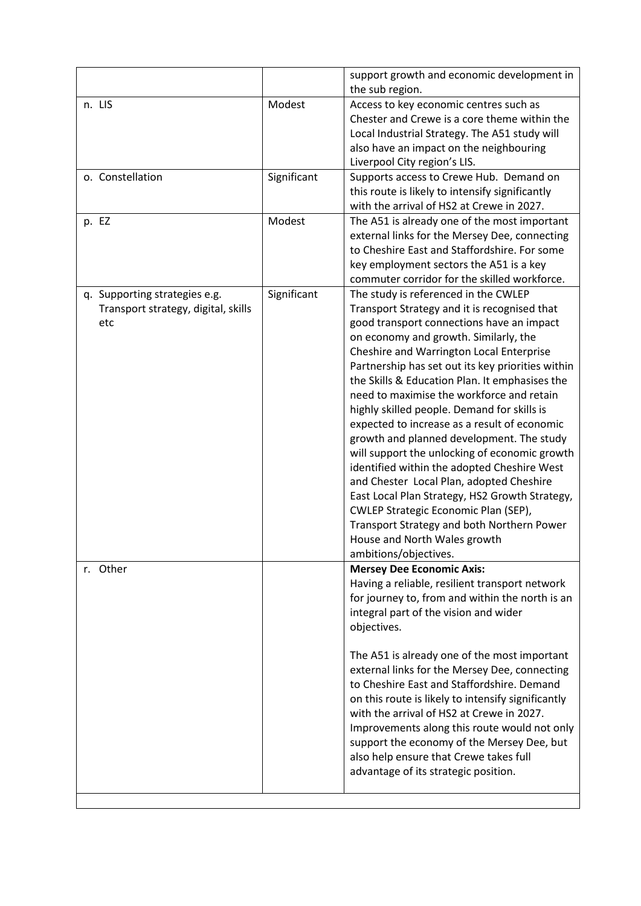|                                                                             |             | support growth and economic development in<br>the sub region.                                                                                                                                                                                                                                                                                                                                                                                                                                                                                                                                                                                                                                                                                                                                                                                                       |
|-----------------------------------------------------------------------------|-------------|---------------------------------------------------------------------------------------------------------------------------------------------------------------------------------------------------------------------------------------------------------------------------------------------------------------------------------------------------------------------------------------------------------------------------------------------------------------------------------------------------------------------------------------------------------------------------------------------------------------------------------------------------------------------------------------------------------------------------------------------------------------------------------------------------------------------------------------------------------------------|
| n. LIS                                                                      | Modest      | Access to key economic centres such as<br>Chester and Crewe is a core theme within the<br>Local Industrial Strategy. The A51 study will<br>also have an impact on the neighbouring<br>Liverpool City region's LIS.                                                                                                                                                                                                                                                                                                                                                                                                                                                                                                                                                                                                                                                  |
| o. Constellation                                                            | Significant | Supports access to Crewe Hub. Demand on<br>this route is likely to intensify significantly<br>with the arrival of HS2 at Crewe in 2027.                                                                                                                                                                                                                                                                                                                                                                                                                                                                                                                                                                                                                                                                                                                             |
| p. EZ                                                                       | Modest      | The A51 is already one of the most important<br>external links for the Mersey Dee, connecting<br>to Cheshire East and Staffordshire. For some<br>key employment sectors the A51 is a key<br>commuter corridor for the skilled workforce.                                                                                                                                                                                                                                                                                                                                                                                                                                                                                                                                                                                                                            |
| q. Supporting strategies e.g.<br>Transport strategy, digital, skills<br>etc | Significant | The study is referenced in the CWLEP<br>Transport Strategy and it is recognised that<br>good transport connections have an impact<br>on economy and growth. Similarly, the<br>Cheshire and Warrington Local Enterprise<br>Partnership has set out its key priorities within<br>the Skills & Education Plan. It emphasises the<br>need to maximise the workforce and retain<br>highly skilled people. Demand for skills is<br>expected to increase as a result of economic<br>growth and planned development. The study<br>will support the unlocking of economic growth<br>identified within the adopted Cheshire West<br>and Chester Local Plan, adopted Cheshire<br>East Local Plan Strategy, HS2 Growth Strategy,<br>CWLEP Strategic Economic Plan (SEP),<br>Transport Strategy and both Northern Power<br>House and North Wales growth<br>ambitions/objectives. |
| r. Other                                                                    |             | <b>Mersey Dee Economic Axis:</b><br>Having a reliable, resilient transport network<br>for journey to, from and within the north is an<br>integral part of the vision and wider<br>objectives.<br>The A51 is already one of the most important<br>external links for the Mersey Dee, connecting                                                                                                                                                                                                                                                                                                                                                                                                                                                                                                                                                                      |
|                                                                             |             | to Cheshire East and Staffordshire. Demand<br>on this route is likely to intensify significantly<br>with the arrival of HS2 at Crewe in 2027.<br>Improvements along this route would not only<br>support the economy of the Mersey Dee, but<br>also help ensure that Crewe takes full<br>advantage of its strategic position.                                                                                                                                                                                                                                                                                                                                                                                                                                                                                                                                       |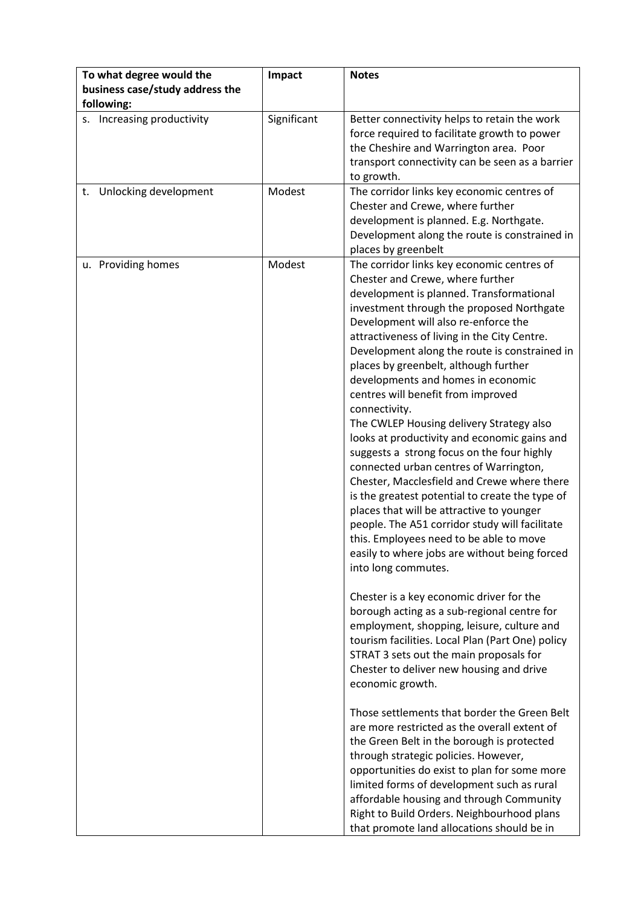| To what degree would the<br>business case/study address the | Impact      | <b>Notes</b>                                                                                                                                                                                                                                                                                                                                                                                                                                                                                                                                                                                                                                                                                                                                                                                                                                                                                                                                                                                                                                                                                                                                                                                                                                                                                                                                                                                                                                                                                                                                                                                                                                                                                       |
|-------------------------------------------------------------|-------------|----------------------------------------------------------------------------------------------------------------------------------------------------------------------------------------------------------------------------------------------------------------------------------------------------------------------------------------------------------------------------------------------------------------------------------------------------------------------------------------------------------------------------------------------------------------------------------------------------------------------------------------------------------------------------------------------------------------------------------------------------------------------------------------------------------------------------------------------------------------------------------------------------------------------------------------------------------------------------------------------------------------------------------------------------------------------------------------------------------------------------------------------------------------------------------------------------------------------------------------------------------------------------------------------------------------------------------------------------------------------------------------------------------------------------------------------------------------------------------------------------------------------------------------------------------------------------------------------------------------------------------------------------------------------------------------------------|
| following:<br>s. Increasing productivity                    | Significant | Better connectivity helps to retain the work<br>force required to facilitate growth to power<br>the Cheshire and Warrington area. Poor<br>transport connectivity can be seen as a barrier<br>to growth.                                                                                                                                                                                                                                                                                                                                                                                                                                                                                                                                                                                                                                                                                                                                                                                                                                                                                                                                                                                                                                                                                                                                                                                                                                                                                                                                                                                                                                                                                            |
| t. Unlocking development                                    | Modest      | The corridor links key economic centres of<br>Chester and Crewe, where further<br>development is planned. E.g. Northgate.<br>Development along the route is constrained in<br>places by greenbelt                                                                                                                                                                                                                                                                                                                                                                                                                                                                                                                                                                                                                                                                                                                                                                                                                                                                                                                                                                                                                                                                                                                                                                                                                                                                                                                                                                                                                                                                                                  |
| u. Providing homes                                          | Modest      | The corridor links key economic centres of<br>Chester and Crewe, where further<br>development is planned. Transformational<br>investment through the proposed Northgate<br>Development will also re-enforce the<br>attractiveness of living in the City Centre.<br>Development along the route is constrained in<br>places by greenbelt, although further<br>developments and homes in economic<br>centres will benefit from improved<br>connectivity.<br>The CWLEP Housing delivery Strategy also<br>looks at productivity and economic gains and<br>suggests a strong focus on the four highly<br>connected urban centres of Warrington,<br>Chester, Macclesfield and Crewe where there<br>is the greatest potential to create the type of<br>places that will be attractive to younger<br>people. The A51 corridor study will facilitate<br>this. Employees need to be able to move<br>easily to where jobs are without being forced<br>into long commutes.<br>Chester is a key economic driver for the<br>borough acting as a sub-regional centre for<br>employment, shopping, leisure, culture and<br>tourism facilities. Local Plan (Part One) policy<br>STRAT 3 sets out the main proposals for<br>Chester to deliver new housing and drive<br>economic growth.<br>Those settlements that border the Green Belt<br>are more restricted as the overall extent of<br>the Green Belt in the borough is protected<br>through strategic policies. However,<br>opportunities do exist to plan for some more<br>limited forms of development such as rural<br>affordable housing and through Community<br>Right to Build Orders. Neighbourhood plans<br>that promote land allocations should be in |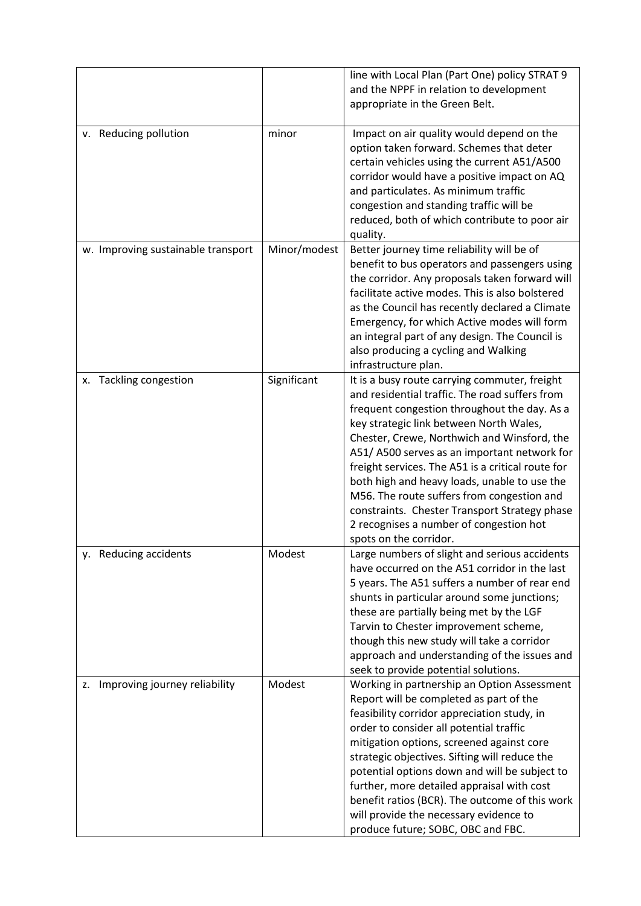|                                    |              | line with Local Plan (Part One) policy STRAT 9<br>and the NPPF in relation to development<br>appropriate in the Green Belt.                                                                                                                                                                                                                                                                                                                                                                                                                                       |
|------------------------------------|--------------|-------------------------------------------------------------------------------------------------------------------------------------------------------------------------------------------------------------------------------------------------------------------------------------------------------------------------------------------------------------------------------------------------------------------------------------------------------------------------------------------------------------------------------------------------------------------|
| v. Reducing pollution              | minor        | Impact on air quality would depend on the<br>option taken forward. Schemes that deter<br>certain vehicles using the current A51/A500<br>corridor would have a positive impact on AQ<br>and particulates. As minimum traffic<br>congestion and standing traffic will be<br>reduced, both of which contribute to poor air<br>quality.                                                                                                                                                                                                                               |
| w. Improving sustainable transport | Minor/modest | Better journey time reliability will be of<br>benefit to bus operators and passengers using<br>the corridor. Any proposals taken forward will<br>facilitate active modes. This is also bolstered<br>as the Council has recently declared a Climate<br>Emergency, for which Active modes will form<br>an integral part of any design. The Council is<br>also producing a cycling and Walking<br>infrastructure plan.                                                                                                                                               |
| x. Tackling congestion             | Significant  | It is a busy route carrying commuter, freight<br>and residential traffic. The road suffers from<br>frequent congestion throughout the day. As a<br>key strategic link between North Wales,<br>Chester, Crewe, Northwich and Winsford, the<br>A51/A500 serves as an important network for<br>freight services. The A51 is a critical route for<br>both high and heavy loads, unable to use the<br>M56. The route suffers from congestion and<br>constraints. Chester Transport Strategy phase<br>2 recognises a number of congestion hot<br>spots on the corridor. |
| y. Reducing accidents              | Modest       | Large numbers of slight and serious accidents<br>have occurred on the A51 corridor in the last<br>5 years. The A51 suffers a number of rear end<br>shunts in particular around some junctions;<br>these are partially being met by the LGF<br>Tarvin to Chester improvement scheme,<br>though this new study will take a corridor<br>approach and understanding of the issues and<br>seek to provide potential solutions.                                                                                                                                         |
| z. Improving journey reliability   | Modest       | Working in partnership an Option Assessment<br>Report will be completed as part of the<br>feasibility corridor appreciation study, in<br>order to consider all potential traffic<br>mitigation options, screened against core<br>strategic objectives. Sifting will reduce the<br>potential options down and will be subject to<br>further, more detailed appraisal with cost<br>benefit ratios (BCR). The outcome of this work<br>will provide the necessary evidence to<br>produce future; SOBC, OBC and FBC.                                                   |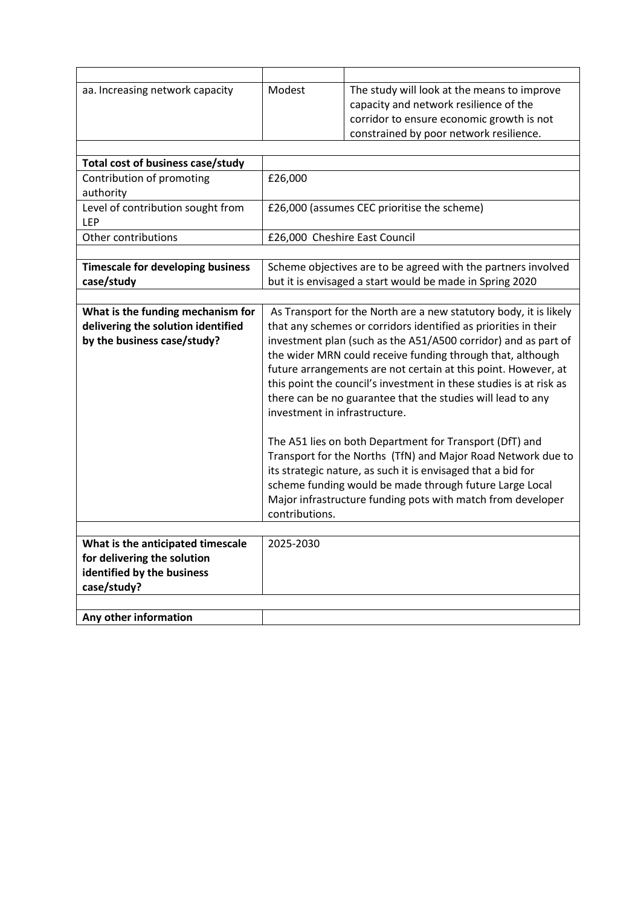| aa. Increasing network capacity                                                                               | Modest                                                                                                                                                                                                                                                                                                                                                                                                                                                                                                                                                                                                                                                                                                                                                                                                                                              | The study will look at the means to improve<br>capacity and network resilience of the<br>corridor to ensure economic growth is not<br>constrained by poor network resilience. |  |
|---------------------------------------------------------------------------------------------------------------|-----------------------------------------------------------------------------------------------------------------------------------------------------------------------------------------------------------------------------------------------------------------------------------------------------------------------------------------------------------------------------------------------------------------------------------------------------------------------------------------------------------------------------------------------------------------------------------------------------------------------------------------------------------------------------------------------------------------------------------------------------------------------------------------------------------------------------------------------------|-------------------------------------------------------------------------------------------------------------------------------------------------------------------------------|--|
|                                                                                                               |                                                                                                                                                                                                                                                                                                                                                                                                                                                                                                                                                                                                                                                                                                                                                                                                                                                     |                                                                                                                                                                               |  |
| Total cost of business case/study                                                                             |                                                                                                                                                                                                                                                                                                                                                                                                                                                                                                                                                                                                                                                                                                                                                                                                                                                     |                                                                                                                                                                               |  |
| Contribution of promoting<br>authority                                                                        | £26,000                                                                                                                                                                                                                                                                                                                                                                                                                                                                                                                                                                                                                                                                                                                                                                                                                                             |                                                                                                                                                                               |  |
| Level of contribution sought from<br>LEP                                                                      | £26,000 (assumes CEC prioritise the scheme)                                                                                                                                                                                                                                                                                                                                                                                                                                                                                                                                                                                                                                                                                                                                                                                                         |                                                                                                                                                                               |  |
| Other contributions                                                                                           |                                                                                                                                                                                                                                                                                                                                                                                                                                                                                                                                                                                                                                                                                                                                                                                                                                                     | £26,000 Cheshire East Council                                                                                                                                                 |  |
|                                                                                                               |                                                                                                                                                                                                                                                                                                                                                                                                                                                                                                                                                                                                                                                                                                                                                                                                                                                     |                                                                                                                                                                               |  |
| <b>Timescale for developing business</b><br>case/study                                                        | Scheme objectives are to be agreed with the partners involved<br>but it is envisaged a start would be made in Spring 2020                                                                                                                                                                                                                                                                                                                                                                                                                                                                                                                                                                                                                                                                                                                           |                                                                                                                                                                               |  |
|                                                                                                               |                                                                                                                                                                                                                                                                                                                                                                                                                                                                                                                                                                                                                                                                                                                                                                                                                                                     |                                                                                                                                                                               |  |
| What is the funding mechanism for<br>delivering the solution identified<br>by the business case/study?        | As Transport for the North are a new statutory body, it is likely<br>that any schemes or corridors identified as priorities in their<br>investment plan (such as the A51/A500 corridor) and as part of<br>the wider MRN could receive funding through that, although<br>future arrangements are not certain at this point. However, at<br>this point the council's investment in these studies is at risk as<br>there can be no guarantee that the studies will lead to any<br>investment in infrastructure.<br>The A51 lies on both Department for Transport (DfT) and<br>Transport for the Norths (TfN) and Major Road Network due to<br>its strategic nature, as such it is envisaged that a bid for<br>scheme funding would be made through future Large Local<br>Major infrastructure funding pots with match from developer<br>contributions. |                                                                                                                                                                               |  |
| What is the anticipated timescale<br>for delivering the solution<br>identified by the business<br>case/study? | 2025-2030                                                                                                                                                                                                                                                                                                                                                                                                                                                                                                                                                                                                                                                                                                                                                                                                                                           |                                                                                                                                                                               |  |
|                                                                                                               |                                                                                                                                                                                                                                                                                                                                                                                                                                                                                                                                                                                                                                                                                                                                                                                                                                                     |                                                                                                                                                                               |  |
| Any other information                                                                                         |                                                                                                                                                                                                                                                                                                                                                                                                                                                                                                                                                                                                                                                                                                                                                                                                                                                     |                                                                                                                                                                               |  |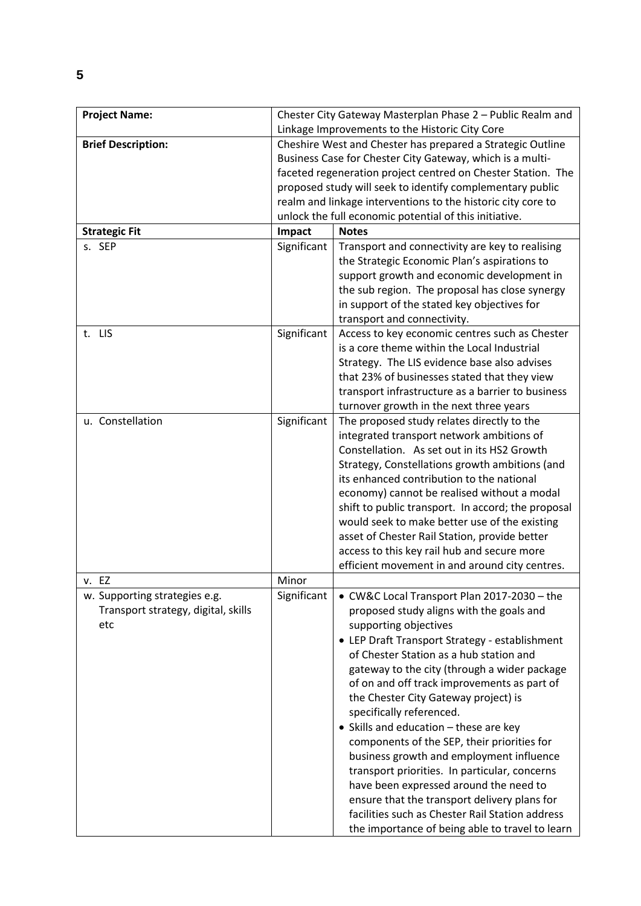| <b>Project Name:</b>                | Chester City Gateway Masterplan Phase 2 - Public Realm and |                                                                                       |
|-------------------------------------|------------------------------------------------------------|---------------------------------------------------------------------------------------|
|                                     | Linkage Improvements to the Historic City Core             |                                                                                       |
| <b>Brief Description:</b>           | Cheshire West and Chester has prepared a Strategic Outline |                                                                                       |
|                                     | Business Case for Chester City Gateway, which is a multi-  |                                                                                       |
|                                     |                                                            | faceted regeneration project centred on Chester Station. The                          |
|                                     |                                                            | proposed study will seek to identify complementary public                             |
|                                     |                                                            | realm and linkage interventions to the historic city core to                          |
|                                     |                                                            | unlock the full economic potential of this initiative.                                |
| <b>Strategic Fit</b>                | Impact                                                     | <b>Notes</b>                                                                          |
| s. SEP                              | Significant                                                | Transport and connectivity are key to realising                                       |
|                                     |                                                            | the Strategic Economic Plan's aspirations to                                          |
|                                     |                                                            | support growth and economic development in                                            |
|                                     |                                                            | the sub region. The proposal has close synergy                                        |
|                                     |                                                            | in support of the stated key objectives for                                           |
|                                     |                                                            | transport and connectivity.                                                           |
| t. LIS                              | Significant                                                | Access to key economic centres such as Chester                                        |
|                                     |                                                            | is a core theme within the Local Industrial                                           |
|                                     |                                                            | Strategy. The LIS evidence base also advises                                          |
|                                     |                                                            | that 23% of businesses stated that they view                                          |
|                                     |                                                            | transport infrastructure as a barrier to business                                     |
| u. Constellation                    | Significant                                                | turnover growth in the next three years<br>The proposed study relates directly to the |
|                                     |                                                            | integrated transport network ambitions of                                             |
|                                     |                                                            | Constellation. As set out in its HS2 Growth                                           |
|                                     |                                                            | Strategy, Constellations growth ambitions (and                                        |
|                                     |                                                            | its enhanced contribution to the national                                             |
|                                     |                                                            | economy) cannot be realised without a modal                                           |
|                                     |                                                            | shift to public transport. In accord; the proposal                                    |
|                                     |                                                            | would seek to make better use of the existing                                         |
|                                     |                                                            | asset of Chester Rail Station, provide better                                         |
|                                     |                                                            | access to this key rail hub and secure more                                           |
|                                     |                                                            | efficient movement in and around city centres.                                        |
| v. EZ                               | Minor                                                      |                                                                                       |
| w. Supporting strategies e.g.       | Significant                                                | • CW&C Local Transport Plan 2017-2030 - the                                           |
| Transport strategy, digital, skills |                                                            | proposed study aligns with the goals and                                              |
| etc                                 |                                                            | supporting objectives                                                                 |
|                                     |                                                            | • LEP Draft Transport Strategy - establishment                                        |
|                                     |                                                            | of Chester Station as a hub station and                                               |
|                                     |                                                            | gateway to the city (through a wider package                                          |
|                                     |                                                            | of on and off track improvements as part of                                           |
|                                     |                                                            | the Chester City Gateway project) is                                                  |
|                                     |                                                            | specifically referenced.                                                              |
|                                     |                                                            | • Skills and education - these are key                                                |
|                                     |                                                            | components of the SEP, their priorities for                                           |
|                                     |                                                            | business growth and employment influence                                              |
|                                     |                                                            | transport priorities. In particular, concerns                                         |
|                                     |                                                            | have been expressed around the need to                                                |
|                                     |                                                            | ensure that the transport delivery plans for                                          |
|                                     |                                                            | facilities such as Chester Rail Station address                                       |
|                                     |                                                            | the importance of being able to travel to learn                                       |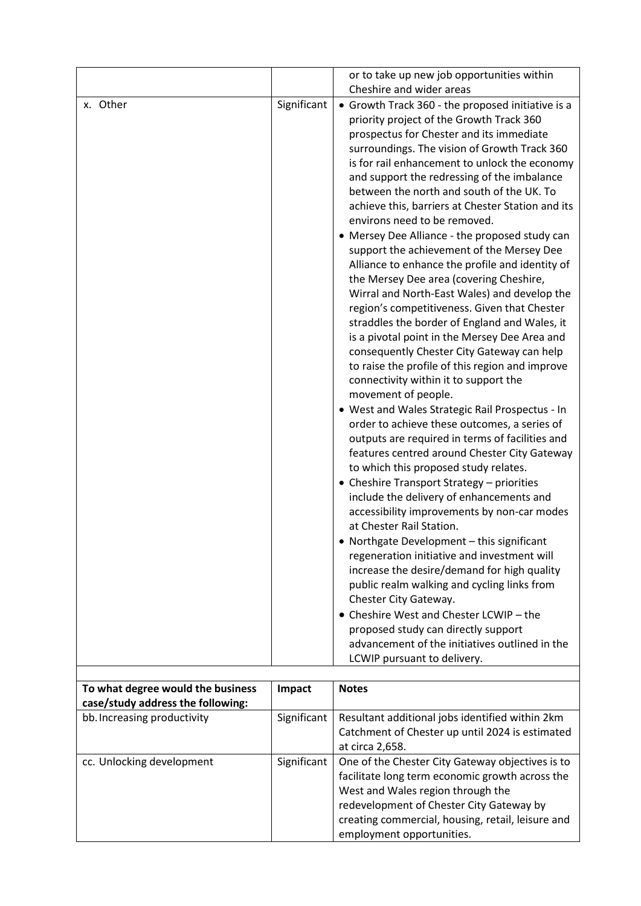|          |             | or to take up new job opportunities within<br>Cheshire and wider areas                                                                                                                                                                                                                                                                                                                                                                                                                                                                                                                                                                                                                                                                                                                                                                                                                                                                                                                                                                                                                                                                                                                                                                                                                                                                                                                                                                                                                                                                                                                                                                                                                                                                                                                                 |
|----------|-------------|--------------------------------------------------------------------------------------------------------------------------------------------------------------------------------------------------------------------------------------------------------------------------------------------------------------------------------------------------------------------------------------------------------------------------------------------------------------------------------------------------------------------------------------------------------------------------------------------------------------------------------------------------------------------------------------------------------------------------------------------------------------------------------------------------------------------------------------------------------------------------------------------------------------------------------------------------------------------------------------------------------------------------------------------------------------------------------------------------------------------------------------------------------------------------------------------------------------------------------------------------------------------------------------------------------------------------------------------------------------------------------------------------------------------------------------------------------------------------------------------------------------------------------------------------------------------------------------------------------------------------------------------------------------------------------------------------------------------------------------------------------------------------------------------------------|
| x. Other | Significant | • Growth Track 360 - the proposed initiative is a<br>priority project of the Growth Track 360<br>prospectus for Chester and its immediate<br>surroundings. The vision of Growth Track 360<br>is for rail enhancement to unlock the economy<br>and support the redressing of the imbalance<br>between the north and south of the UK. To<br>achieve this, barriers at Chester Station and its<br>environs need to be removed.<br>• Mersey Dee Alliance - the proposed study can<br>support the achievement of the Mersey Dee<br>Alliance to enhance the profile and identity of<br>the Mersey Dee area (covering Cheshire,<br>Wirral and North-East Wales) and develop the<br>region's competitiveness. Given that Chester<br>straddles the border of England and Wales, it<br>is a pivotal point in the Mersey Dee Area and<br>consequently Chester City Gateway can help<br>to raise the profile of this region and improve<br>connectivity within it to support the<br>movement of people.<br>· West and Wales Strategic Rail Prospectus - In<br>order to achieve these outcomes, a series of<br>outputs are required in terms of facilities and<br>features centred around Chester City Gateway<br>to which this proposed study relates.<br>• Cheshire Transport Strategy - priorities<br>include the delivery of enhancements and<br>accessibility improvements by non-car modes<br>at Chester Rail Station.<br>• Northgate Development - this significant<br>regeneration initiative and investment will<br>increase the desire/demand for high quality<br>public realm walking and cycling links from<br>Chester City Gateway.<br>• Cheshire West and Chester LCWIP - the<br>proposed study can directly support<br>advancement of the initiatives outlined in the<br>LCWIP pursuant to delivery. |

| To what degree would the business<br>case/study address the following: | Impact      | <b>Notes</b>                                                                                                                                                                                                                                                           |
|------------------------------------------------------------------------|-------------|------------------------------------------------------------------------------------------------------------------------------------------------------------------------------------------------------------------------------------------------------------------------|
| bb. Increasing productivity                                            | Significant | Resultant additional jobs identified within 2km<br>Catchment of Chester up until 2024 is estimated<br>at circa 2,658.                                                                                                                                                  |
| cc. Unlocking development                                              | Significant | One of the Chester City Gateway objectives is to<br>facilitate long term economic growth across the<br>West and Wales region through the<br>redevelopment of Chester City Gateway by<br>creating commercial, housing, retail, leisure and<br>employment opportunities. |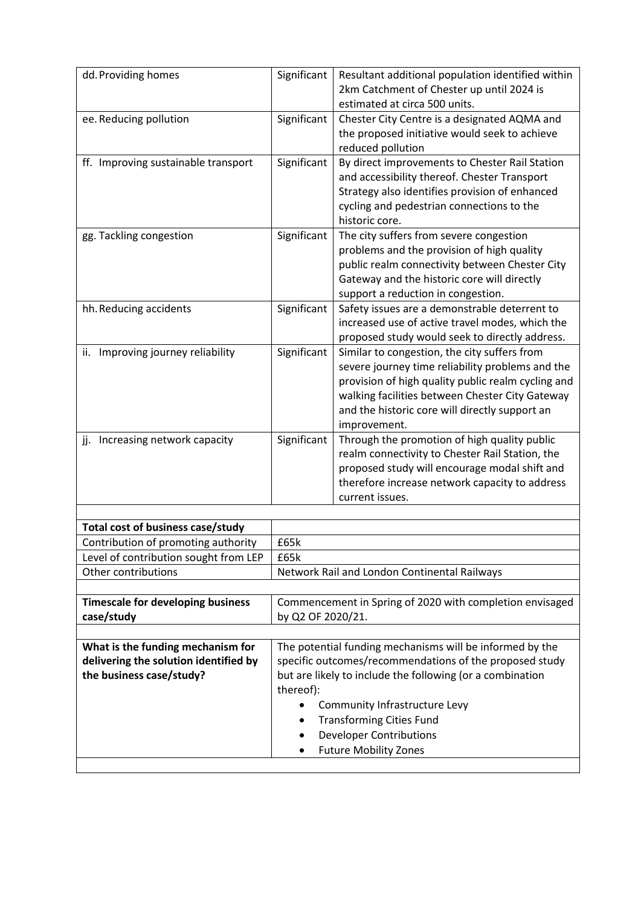| dd. Providing homes                                                                                    | Significant                                                                                                                                                                                                                                                                                                   | Resultant additional population identified within<br>2km Catchment of Chester up until 2024 is<br>estimated at circa 500 units.                                                                                                                                             |
|--------------------------------------------------------------------------------------------------------|---------------------------------------------------------------------------------------------------------------------------------------------------------------------------------------------------------------------------------------------------------------------------------------------------------------|-----------------------------------------------------------------------------------------------------------------------------------------------------------------------------------------------------------------------------------------------------------------------------|
| ee. Reducing pollution                                                                                 | Significant                                                                                                                                                                                                                                                                                                   | Chester City Centre is a designated AQMA and<br>the proposed initiative would seek to achieve<br>reduced pollution                                                                                                                                                          |
| ff. Improving sustainable transport                                                                    | Significant                                                                                                                                                                                                                                                                                                   | By direct improvements to Chester Rail Station<br>and accessibility thereof. Chester Transport<br>Strategy also identifies provision of enhanced<br>cycling and pedestrian connections to the<br>historic core.                                                             |
| gg. Tackling congestion                                                                                | Significant                                                                                                                                                                                                                                                                                                   | The city suffers from severe congestion<br>problems and the provision of high quality<br>public realm connectivity between Chester City<br>Gateway and the historic core will directly<br>support a reduction in congestion.                                                |
| hh. Reducing accidents                                                                                 | Significant                                                                                                                                                                                                                                                                                                   | Safety issues are a demonstrable deterrent to<br>increased use of active travel modes, which the<br>proposed study would seek to directly address.                                                                                                                          |
| ii. Improving journey reliability                                                                      | Significant                                                                                                                                                                                                                                                                                                   | Similar to congestion, the city suffers from<br>severe journey time reliability problems and the<br>provision of high quality public realm cycling and<br>walking facilities between Chester City Gateway<br>and the historic core will directly support an<br>improvement. |
| jj. Increasing network capacity                                                                        | Significant                                                                                                                                                                                                                                                                                                   | Through the promotion of high quality public<br>realm connectivity to Chester Rail Station, the<br>proposed study will encourage modal shift and<br>therefore increase network capacity to address<br>current issues.                                                       |
| <b>Total cost of business case/study</b>                                                               |                                                                                                                                                                                                                                                                                                               |                                                                                                                                                                                                                                                                             |
| Contribution of promoting authority                                                                    | £65k                                                                                                                                                                                                                                                                                                          |                                                                                                                                                                                                                                                                             |
|                                                                                                        |                                                                                                                                                                                                                                                                                                               |                                                                                                                                                                                                                                                                             |
| Level of contribution sought from LEP<br>Other contributions                                           | £65k                                                                                                                                                                                                                                                                                                          |                                                                                                                                                                                                                                                                             |
|                                                                                                        |                                                                                                                                                                                                                                                                                                               | Network Rail and London Continental Railways                                                                                                                                                                                                                                |
| <b>Timescale for developing business</b><br>case/study                                                 | Commencement in Spring of 2020 with completion envisaged<br>by Q2 OF 2020/21.                                                                                                                                                                                                                                 |                                                                                                                                                                                                                                                                             |
| What is the funding mechanism for<br>delivering the solution identified by<br>the business case/study? | The potential funding mechanisms will be informed by the<br>specific outcomes/recommendations of the proposed study<br>but are likely to include the following (or a combination<br>thereof):<br>Community Infrastructure Levy<br><b>Transforming Cities Fund</b><br>٠<br><b>Developer Contributions</b><br>٠ |                                                                                                                                                                                                                                                                             |
|                                                                                                        |                                                                                                                                                                                                                                                                                                               | <b>Future Mobility Zones</b>                                                                                                                                                                                                                                                |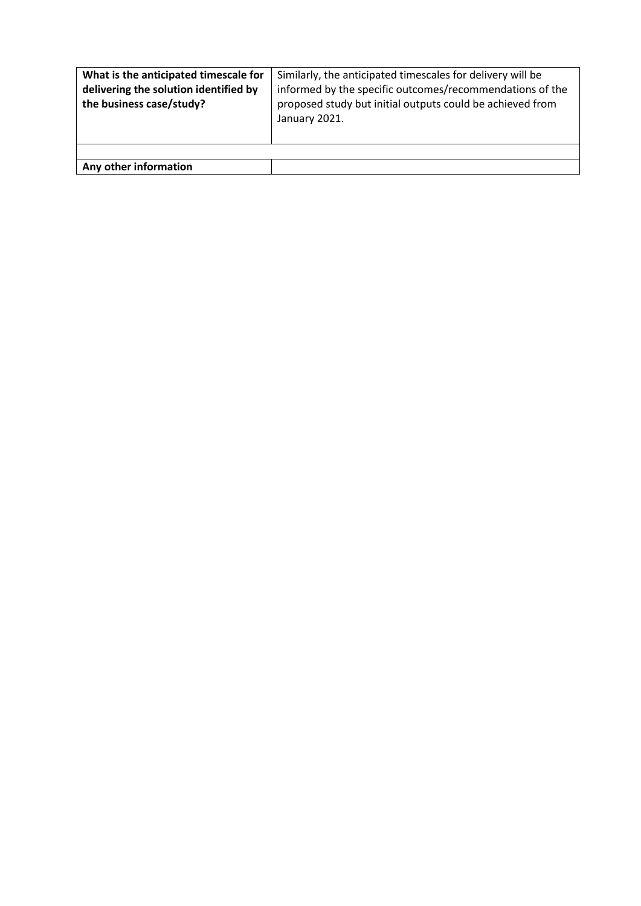| What is the anticipated timescale for<br>delivering the solution identified by<br>the business case/study? | Similarly, the anticipated timescales for delivery will be<br>informed by the specific outcomes/recommendations of the<br>proposed study but initial outputs could be achieved from<br>January 2021. |
|------------------------------------------------------------------------------------------------------------|------------------------------------------------------------------------------------------------------------------------------------------------------------------------------------------------------|
|                                                                                                            |                                                                                                                                                                                                      |
| Any other information                                                                                      |                                                                                                                                                                                                      |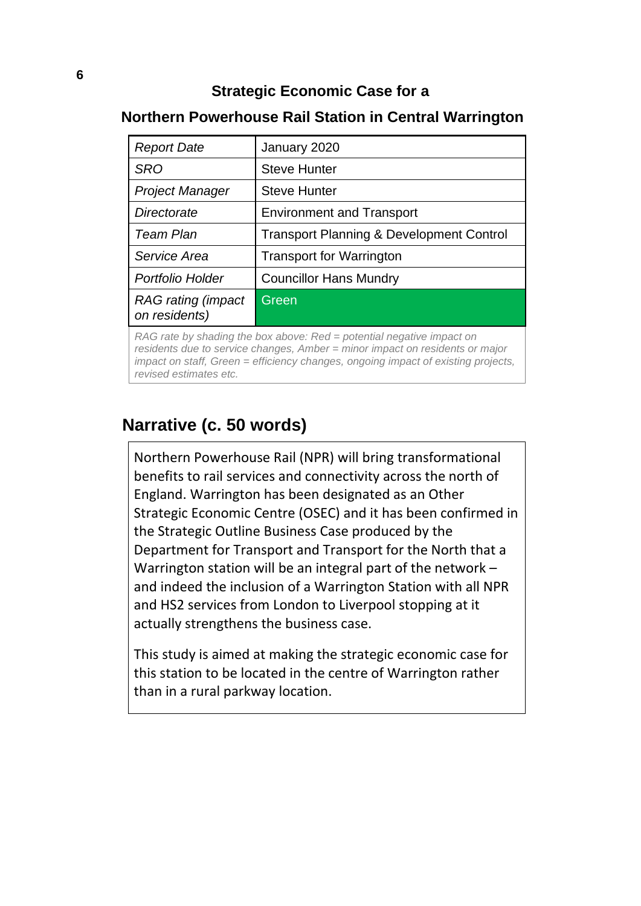### **Strategic Economic Case for a**

### *Report Date* January 2020 **SRO** Steve Hunter *Project Manager* | Steve Hunter **Directorate Environment and Transport Team Plan** | Transport Planning & Development Control *Service Area* **Transport for Warrington Portfolio Holder** | Councillor Hans Mundry *RAG rating (impact on residents)* **Green**

### **Northern Powerhouse Rail Station in Central Warrington**

*RAG rate by shading the box above: Red = potential negative impact on residents due to service changes, Amber = minor impact on residents or major impact on staff, Green = efficiency changes, ongoing impact of existing projects, revised estimates etc.*

### **Narrative (c. 50 words)**

Northern Powerhouse Rail (NPR) will bring transformational benefits to rail services and connectivity across the north of England. Warrington has been designated as an Other Strategic Economic Centre (OSEC) and it has been confirmed in the Strategic Outline Business Case produced by the Department for Transport and Transport for the North that a Warrington station will be an integral part of the network – and indeed the inclusion of a Warrington Station with all NPR and HS2 services from London to Liverpool stopping at it actually strengthens the business case.

This study is aimed at making the strategic economic case for this station to be located in the centre of Warrington rather than in a rural parkway location.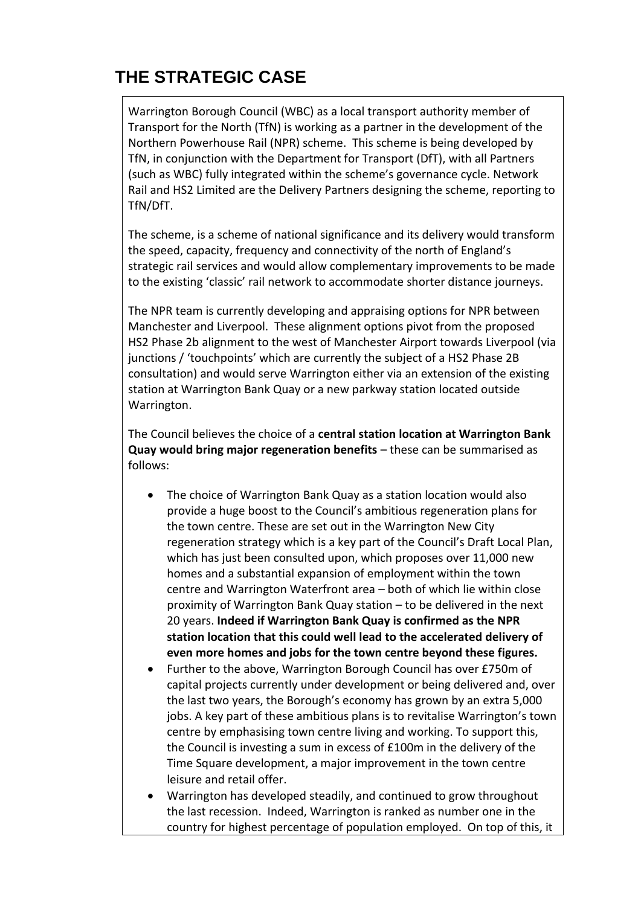# **THE STRATEGIC CASE**

Warrington Borough Council (WBC) as a local transport authority member of Transport for the North (TfN) is working as a partner in the development of the Northern Powerhouse Rail (NPR) scheme. This scheme is being developed by TfN, in conjunction with the Department for Transport (DfT), with all Partners (such as WBC) fully integrated within the scheme's governance cycle. Network Rail and HS2 Limited are the Delivery Partners designing the scheme, reporting to TfN/DfT.

The scheme, is a scheme of national significance and its delivery would transform the speed, capacity, frequency and connectivity of the north of England's strategic rail services and would allow complementary improvements to be made to the existing 'classic' rail network to accommodate shorter distance journeys.

The NPR team is currently developing and appraising options for NPR between Manchester and Liverpool. These alignment options pivot from the proposed HS2 Phase 2b alignment to the west of Manchester Airport towards Liverpool (via junctions / 'touchpoints' which are currently the subject of a HS2 Phase 2B consultation) and would serve Warrington either via an extension of the existing station at Warrington Bank Quay or a new parkway station located outside Warrington.

The Council believes the choice of a **central station location at Warrington Bank Quay would bring major regeneration benefits** – these can be summarised as follows:

- The choice of Warrington Bank Quay as a station location would also provide a huge boost to the Council's ambitious regeneration plans for the town centre. These are set out in the Warrington New City regeneration strategy which is a key part of the Council's Draft Local Plan, which has just been consulted upon, which proposes over 11,000 new homes and a substantial expansion of employment within the town centre and Warrington Waterfront area – both of which lie within close proximity of Warrington Bank Quay station – to be delivered in the next 20 years. **Indeed if Warrington Bank Quay is confirmed as the NPR station location that this could well lead to the accelerated delivery of even more homes and jobs for the town centre beyond these figures.**
- Further to the above, Warrington Borough Council has over £750m of capital projects currently under development or being delivered and, over the last two years, the Borough's economy has grown by an extra 5,000 jobs. A key part of these ambitious plans is to revitalise Warrington's town centre by emphasising town centre living and working. To support this, the Council is investing a sum in excess of £100m in the delivery of the Time Square development, a major improvement in the town centre leisure and retail offer.
- Warrington has developed steadily, and continued to grow throughout the last recession. Indeed, Warrington is ranked as number one in the country for highest percentage of population employed. On top of this, it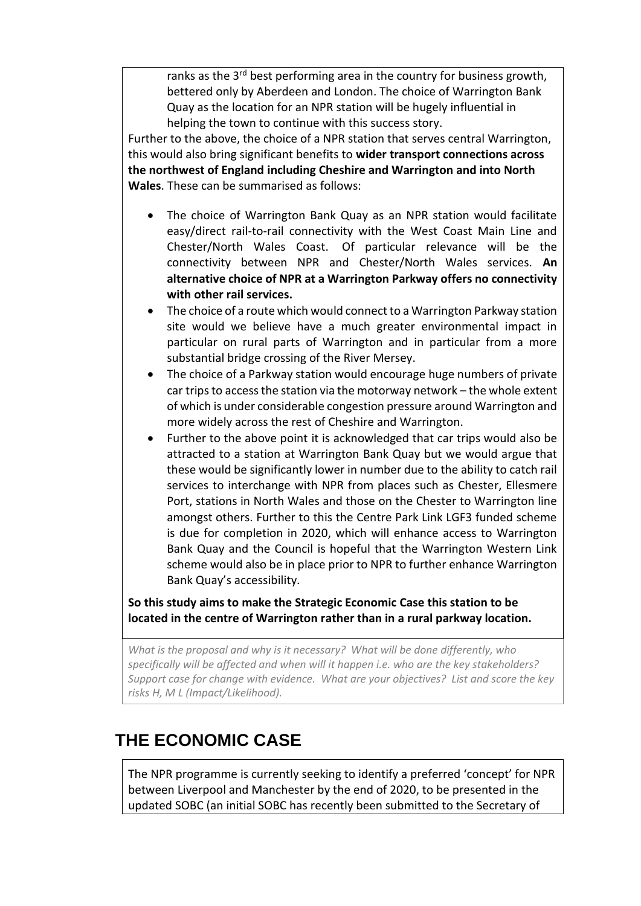ranks as the 3<sup>rd</sup> best performing area in the country for business growth, bettered only by Aberdeen and London. The choice of Warrington Bank Quay as the location for an NPR station will be hugely influential in helping the town to continue with this success story.

Further to the above, the choice of a NPR station that serves central Warrington, this would also bring significant benefits to **wider transport connections across the northwest of England including Cheshire and Warrington and into North Wales**. These can be summarised as follows:

- The choice of Warrington Bank Quay as an NPR station would facilitate easy/direct rail-to-rail connectivity with the West Coast Main Line and Chester/North Wales Coast. Of particular relevance will be the connectivity between NPR and Chester/North Wales services. **An alternative choice of NPR at a Warrington Parkway offers no connectivity with other rail services.**
- The choice of a route which would connect to a Warrington Parkway station site would we believe have a much greater environmental impact in particular on rural parts of Warrington and in particular from a more substantial bridge crossing of the River Mersey.
- The choice of a Parkway station would encourage huge numbers of private car trips to access the station via the motorway network – the whole extent of which is under considerable congestion pressure around Warrington and more widely across the rest of Cheshire and Warrington.
- Further to the above point it is acknowledged that car trips would also be attracted to a station at Warrington Bank Quay but we would argue that these would be significantly lower in number due to the ability to catch rail services to interchange with NPR from places such as Chester, Ellesmere Port, stations in North Wales and those on the Chester to Warrington line amongst others. Further to this the Centre Park Link LGF3 funded scheme is due for completion in 2020, which will enhance access to Warrington Bank Quay and the Council is hopeful that the Warrington Western Link scheme would also be in place prior to NPR to further enhance Warrington Bank Quay's accessibility.

**So this study aims to make the Strategic Economic Case this station to be located in the centre of Warrington rather than in a rural parkway location.**

*What is the proposal and why is it necessary? What will be done differently, who specifically will be affected and when will it happen i.e. who are the key stakeholders? Support case for change with evidence. What are your objectives? List and score the key risks H, M L (Impact/Likelihood).*

# **THE ECONOMIC CASE**

The NPR programme is currently seeking to identify a preferred 'concept' for NPR between Liverpool and Manchester by the end of 2020, to be presented in the updated SOBC (an initial SOBC has recently been submitted to the Secretary of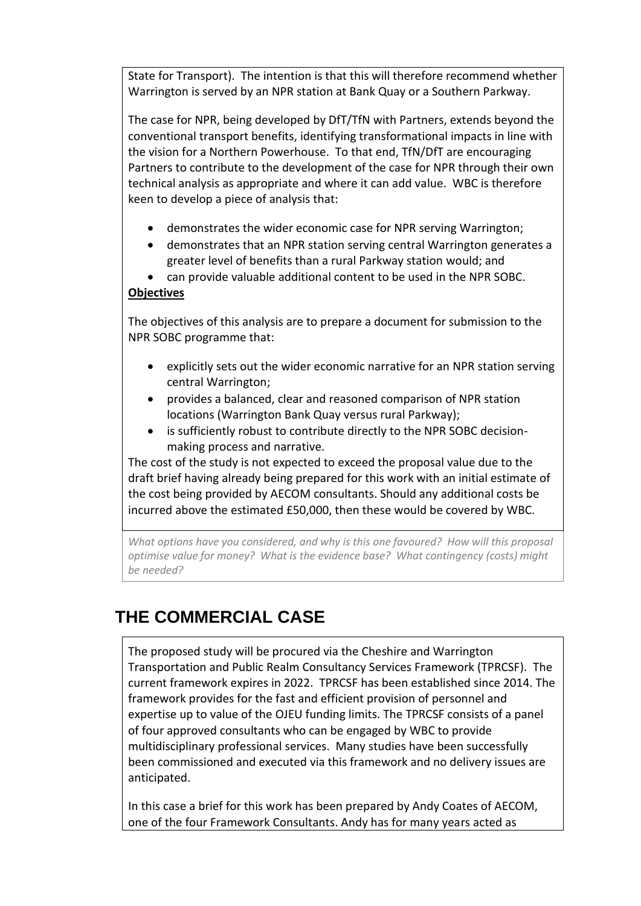State for Transport). The intention is that this will therefore recommend whether Warrington is served by an NPR station at Bank Quay or a Southern Parkway.

The case for NPR, being developed by DfT/TfN with Partners, extends beyond the conventional transport benefits, identifying transformational impacts in line with the vision for a Northern Powerhouse. To that end, TfN/DfT are encouraging Partners to contribute to the development of the case for NPR through their own technical analysis as appropriate and where it can add value. WBC is therefore keen to develop a piece of analysis that:

- demonstrates the wider economic case for NPR serving Warrington;
- demonstrates that an NPR station serving central Warrington generates a greater level of benefits than a rural Parkway station would; and
- can provide valuable additional content to be used in the NPR SOBC.

### **Objectives**

The objectives of this analysis are to prepare a document for submission to the NPR SOBC programme that:

- explicitly sets out the wider economic narrative for an NPR station serving central Warrington;
- provides a balanced, clear and reasoned comparison of NPR station locations (Warrington Bank Quay versus rural Parkway);
- is sufficiently robust to contribute directly to the NPR SOBC decisionmaking process and narrative.

The cost of the study is not expected to exceed the proposal value due to the draft brief having already being prepared for this work with an initial estimate of the cost being provided by AECOM consultants. Should any additional costs be incurred above the estimated £50,000, then these would be covered by WBC.

*What options have you considered, and why is this one favoured? How will this proposal optimise value for money? What is the evidence base? What contingency (costs) might be needed?*

# **THE COMMERCIAL CASE**

The proposed study will be procured via the Cheshire and Warrington Transportation and Public Realm Consultancy Services Framework (TPRCSF). The current framework expires in 2022. TPRCSF has been established since 2014. The framework provides for the fast and efficient provision of personnel and expertise up to value of the OJEU funding limits. The TPRCSF consists of a panel of four approved consultants who can be engaged by WBC to provide multidisciplinary professional services. Many studies have been successfully been commissioned and executed via this framework and no delivery issues are anticipated.

In this case a brief for this work has been prepared by Andy Coates of AECOM, one of the four Framework Consultants. Andy has for many years acted as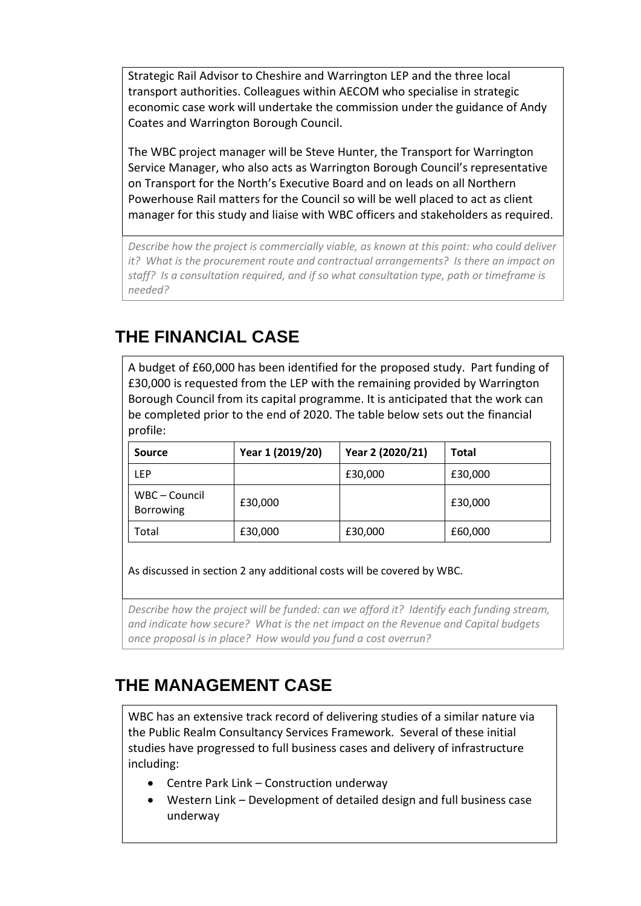Strategic Rail Advisor to Cheshire and Warrington LEP and the three local transport authorities. Colleagues within AECOM who specialise in strategic economic case work will undertake the commission under the guidance of Andy Coates and Warrington Borough Council.

The WBC project manager will be Steve Hunter, the Transport for Warrington Service Manager, who also acts as Warrington Borough Council's representative on Transport for the North's Executive Board and on leads on all Northern Powerhouse Rail matters for the Council so will be well placed to act as client manager for this study and liaise with WBC officers and stakeholders as required.

*Describe how the project is commercially viable, as known at this point: who could deliver it? What is the procurement route and contractual arrangements? Is there an impact on staff? Is a consultation required, and if so what consultation type, path or timeframe is needed?*

# **THE FINANCIAL CASE**

A budget of £60,000 has been identified for the proposed study. Part funding of £30,000 is requested from the LEP with the remaining provided by Warrington Borough Council from its capital programme. It is anticipated that the work can be completed prior to the end of 2020. The table below sets out the financial profile:

| <b>Source</b>                     | Year 1 (2019/20) | Year 2 (2020/21) | <b>Total</b> |
|-----------------------------------|------------------|------------------|--------------|
| LEP                               |                  | £30,000          | £30,000      |
| WBC – Council<br><b>Borrowing</b> | £30,000          |                  | £30,000      |
| Total                             | £30,000          | £30,000          | £60,000      |

As discussed in section 2 any additional costs will be covered by WBC.

*Describe how the project will be funded: can we afford it? Identify each funding stream, and indicate how secure? What is the net impact on the Revenue and Capital budgets once proposal is in place? How would you fund a cost overrun?*

# **THE MANAGEMENT CASE**

WBC has an extensive track record of delivering studies of a similar nature via the Public Realm Consultancy Services Framework. Several of these initial studies have progressed to full business cases and delivery of infrastructure including:

- Centre Park Link Construction underway
- Western Link Development of detailed design and full business case underway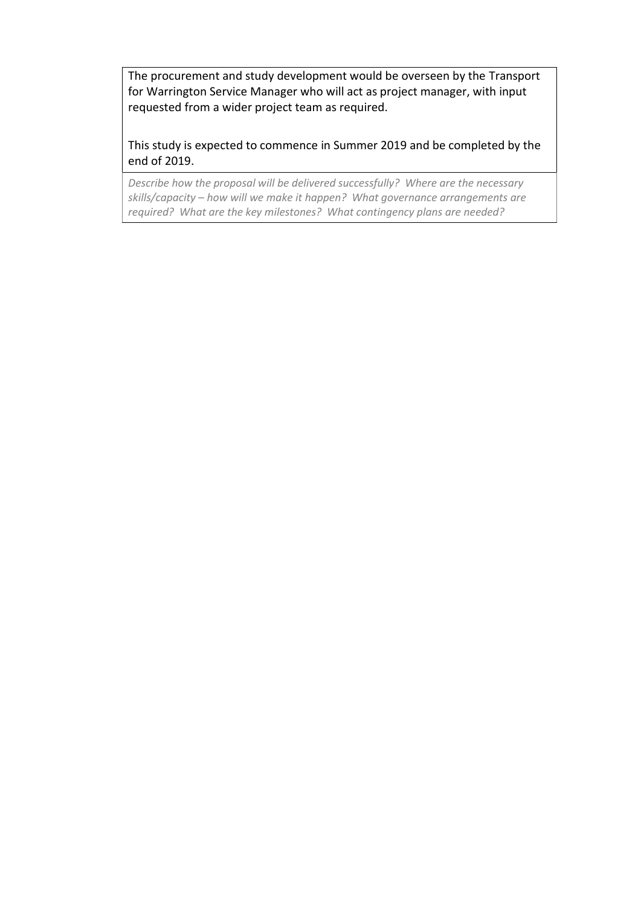The procurement and study development would be overseen by the Transport for Warrington Service Manager who will act as project manager, with input requested from a wider project team as required.

This study is expected to commence in Summer 2019 and be completed by the end of 2019.

*Describe how the proposal will be delivered successfully? Where are the necessary skills/capacity – how will we make it happen? What governance arrangements are required? What are the key milestones? What contingency plans are needed?*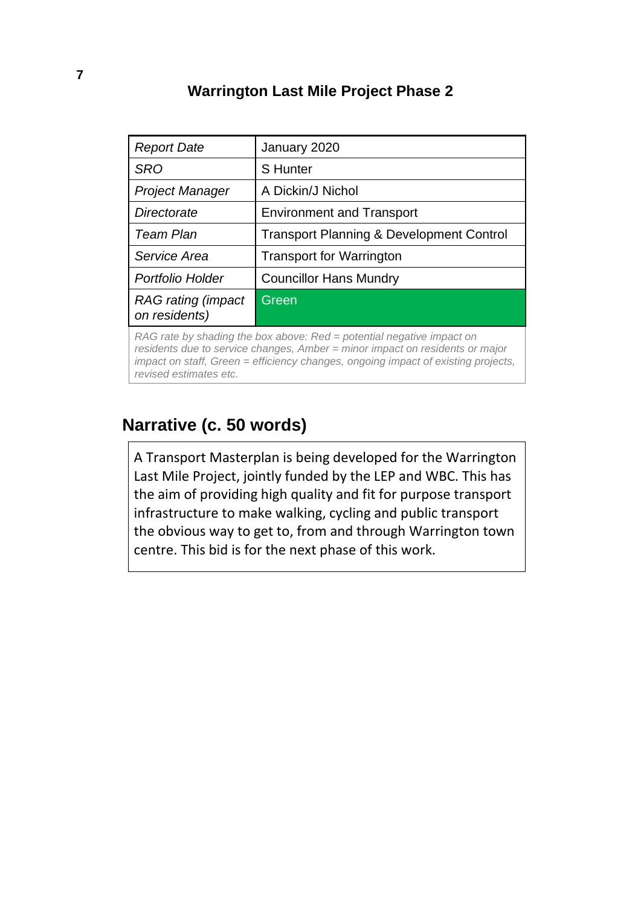### **Warrington Last Mile Project Phase 2**

| <b>Report Date</b>                                                                     | January 2020                                        |  |
|----------------------------------------------------------------------------------------|-----------------------------------------------------|--|
| <b>SRO</b>                                                                             | <b>S</b> Hunter                                     |  |
| <b>Project Manager</b>                                                                 | A Dickin/J Nichol                                   |  |
| Directorate                                                                            | <b>Environment and Transport</b>                    |  |
| <b>Team Plan</b>                                                                       | <b>Transport Planning &amp; Development Control</b> |  |
| Service Area                                                                           | <b>Transport for Warrington</b>                     |  |
| Portfolio Holder                                                                       | <b>Councillor Hans Mundry</b>                       |  |
| <b>RAG</b> rating (impact<br>on residents)                                             | Green                                               |  |
| $D_{\Lambda}$ rate by abading the bey above $D_{\Lambda}$ notation perchise imposition |                                                     |  |

*RAG rate by shading the box above: Red = potential negative impact on residents due to service changes, Amber = minor impact on residents or major impact on staff, Green = efficiency changes, ongoing impact of existing projects, revised estimates etc.*

### **Narrative (c. 50 words)**

A Transport Masterplan is being developed for the Warrington Last Mile Project, jointly funded by the LEP and WBC. This has the aim of providing high quality and fit for purpose transport infrastructure to make walking, cycling and public transport the obvious way to get to, from and through Warrington town centre. This bid is for the next phase of this work.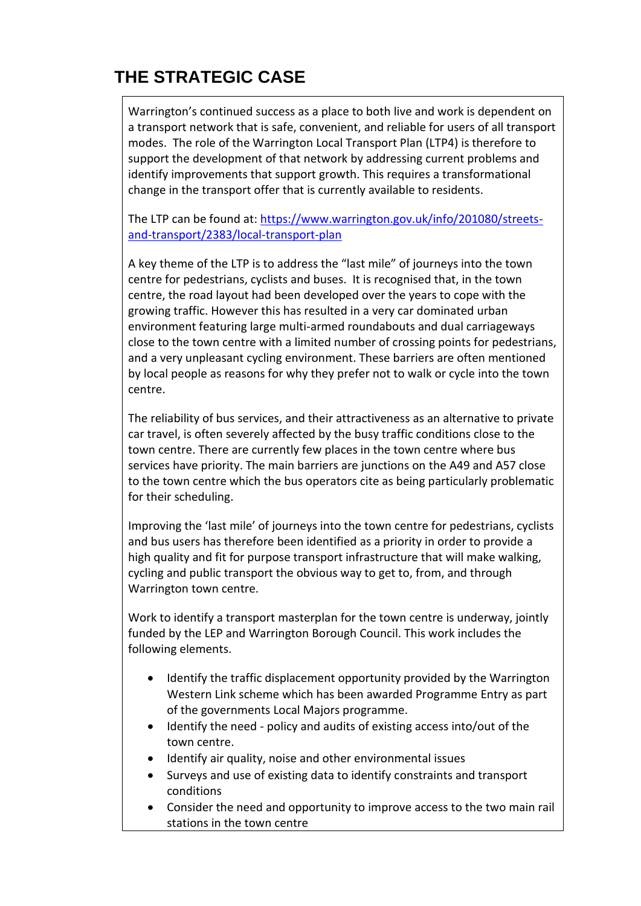# **THE STRATEGIC CASE**

Warrington's continued success as a place to both live and work is dependent on a transport network that is safe, convenient, and reliable for users of all transport modes. The role of the Warrington Local Transport Plan (LTP4) is therefore to support the development of that network by addressing current problems and identify improvements that support growth. This requires a transformational change in the transport offer that is currently available to residents.

The LTP can be found at: https://www.warrington.gov.uk/info/201080/streetsand-transport/2383/local-transport-plan

A key theme of the LTP is to address the "last mile" of journeys into the town centre for pedestrians, cyclists and buses. It is recognised that, in the town centre, the road layout had been developed over the years to cope with the growing traffic. However this has resulted in a very car dominated urban environment featuring large multi-armed roundabouts and dual carriageways close to the town centre with a limited number of crossing points for pedestrians, and a very unpleasant cycling environment. These barriers are often mentioned by local people as reasons for why they prefer not to walk or cycle into the town centre.

The reliability of bus services, and their attractiveness as an alternative to private car travel, is often severely affected by the busy traffic conditions close to the town centre. There are currently few places in the town centre where bus services have priority. The main barriers are junctions on the A49 and A57 close to the town centre which the bus operators cite as being particularly problematic for their scheduling.

Improving the 'last mile' of journeys into the town centre for pedestrians, cyclists and bus users has therefore been identified as a priority in order to provide a high quality and fit for purpose transport infrastructure that will make walking, cycling and public transport the obvious way to get to, from, and through Warrington town centre.

Work to identify a transport masterplan for the town centre is underway, jointly funded by the LEP and Warrington Borough Council. This work includes the following elements.

- Identify the traffic displacement opportunity provided by the Warrington Western Link scheme which has been awarded Programme Entry as part of the governments Local Majors programme.
- Identify the need policy and audits of existing access into/out of the town centre.
- Identify air quality, noise and other environmental issues
- Surveys and use of existing data to identify constraints and transport conditions
- Consider the need and opportunity to improve access to the two main rail stations in the town centre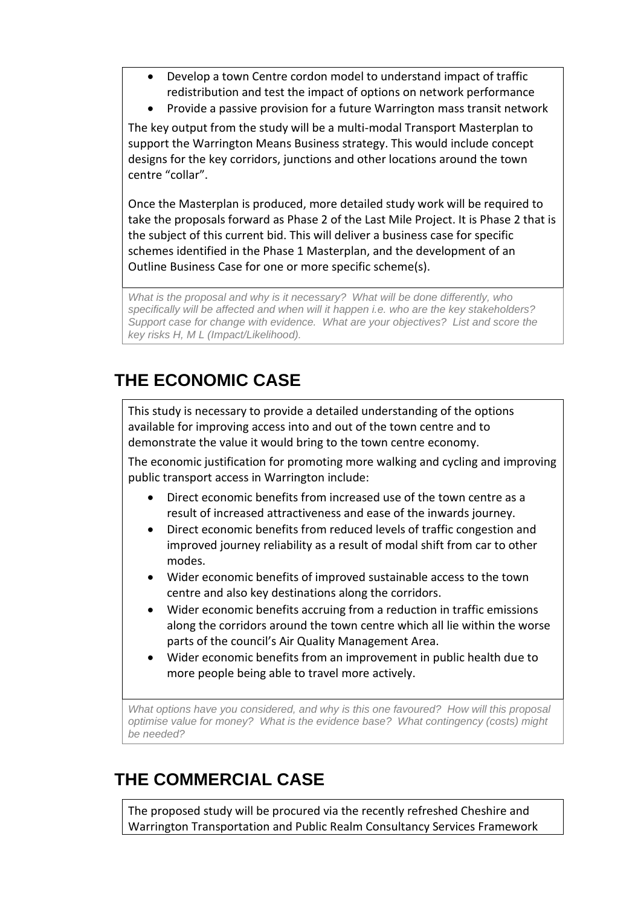- Develop a town Centre cordon model to understand impact of traffic redistribution and test the impact of options on network performance
- Provide a passive provision for a future Warrington mass transit network

The key output from the study will be a multi-modal Transport Masterplan to support the Warrington Means Business strategy. This would include concept designs for the key corridors, junctions and other locations around the town centre "collar".

Once the Masterplan is produced, more detailed study work will be required to take the proposals forward as Phase 2 of the Last Mile Project. It is Phase 2 that is the subject of this current bid. This will deliver a business case for specific schemes identified in the Phase 1 Masterplan, and the development of an Outline Business Case for one or more specific scheme(s).

*What is the proposal and why is it necessary? What will be done differently, who specifically will be affected and when will it happen i.e. who are the key stakeholders? Support case for change with evidence. What are your objectives? List and score the key risks H, M L (Impact/Likelihood).*

# **THE ECONOMIC CASE**

This study is necessary to provide a detailed understanding of the options available for improving access into and out of the town centre and to demonstrate the value it would bring to the town centre economy.

The economic justification for promoting more walking and cycling and improving public transport access in Warrington include:

- Direct economic benefits from increased use of the town centre as a result of increased attractiveness and ease of the inwards journey.
- Direct economic benefits from reduced levels of traffic congestion and improved journey reliability as a result of modal shift from car to other modes.
- Wider economic benefits of improved sustainable access to the town centre and also key destinations along the corridors.
- Wider economic benefits accruing from a reduction in traffic emissions along the corridors around the town centre which all lie within the worse parts of the council's Air Quality Management Area.
- Wider economic benefits from an improvement in public health due to more people being able to travel more actively.

*What options have you considered, and why is this one favoured? How will this proposal optimise value for money? What is the evidence base? What contingency (costs) might be needed?*

# **THE COMMERCIAL CASE**

The proposed study will be procured via the recently refreshed Cheshire and Warrington Transportation and Public Realm Consultancy Services Framework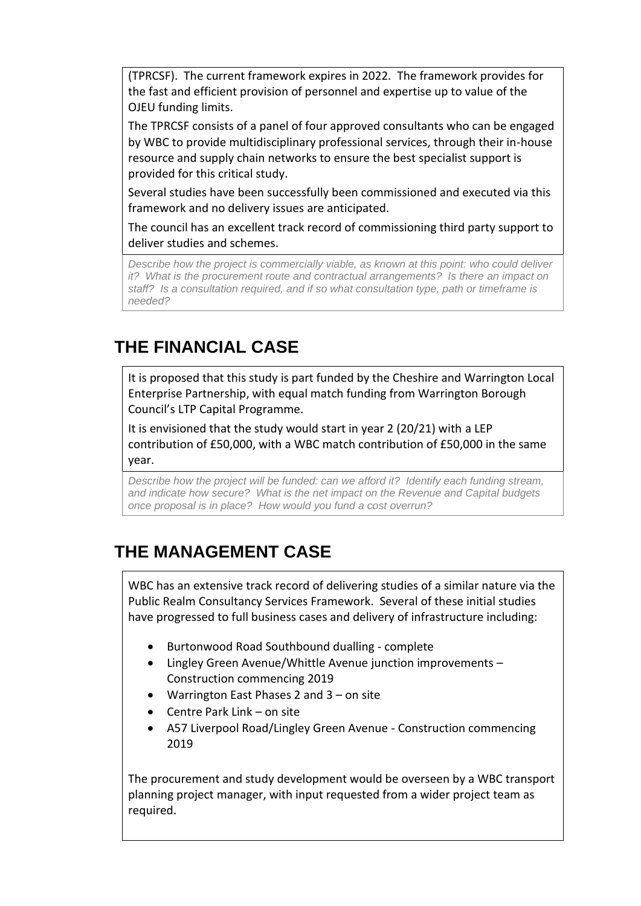(TPRCSF). The current framework expires in 2022. The framework provides for the fast and efficient provision of personnel and expertise up to value of the OJEU funding limits.

The TPRCSF consists of a panel of four approved consultants who can be engaged by WBC to provide multidisciplinary professional services, through their in-house resource and supply chain networks to ensure the best specialist support is provided for this critical study.

Several studies have been successfully been commissioned and executed via this framework and no delivery issues are anticipated.

The council has an excellent track record of commissioning third party support to deliver studies and schemes.

*Describe how the project is commercially viable, as known at this point: who could deliver it? What is the procurement route and contractual arrangements? Is there an impact on staff? Is a consultation required, and if so what consultation type, path or timeframe is needed?*

## **THE FINANCIAL CASE**

It is proposed that this study is part funded by the Cheshire and Warrington Local Enterprise Partnership, with equal match funding from Warrington Borough Council's LTP Capital Programme.

It is envisioned that the study would start in year 2 (20/21) with a LEP contribution of £50,000, with a WBC match contribution of £50,000 in the same year.

*Describe how the project will be funded: can we afford it? Identify each funding stream, and indicate how secure? What is the net impact on the Revenue and Capital budgets once proposal is in place? How would you fund a cost overrun?*

# **THE MANAGEMENT CASE**

WBC has an extensive track record of delivering studies of a similar nature via the Public Realm Consultancy Services Framework. Several of these initial studies have progressed to full business cases and delivery of infrastructure including:

- Burtonwood Road Southbound dualling complete
- Lingley Green Avenue/Whittle Avenue junction improvements Construction commencing 2019
- Warrington East Phases 2 and 3 on site
- Centre Park Link on site
- A57 Liverpool Road/Lingley Green Avenue Construction commencing 2019

The procurement and study development would be overseen by a WBC transport planning project manager, with input requested from a wider project team as required.